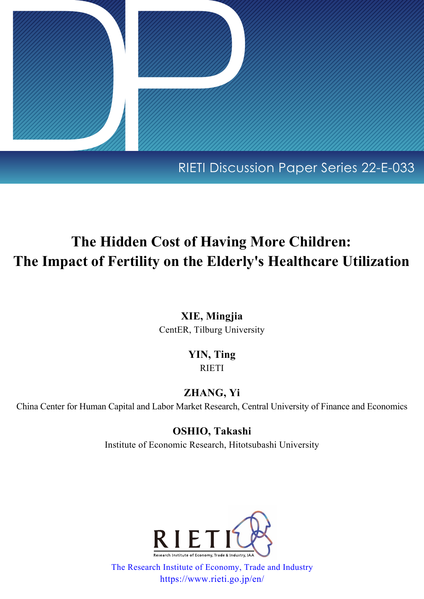

# RIETI Discussion Paper Series 22-E-033

# **The Hidden Cost of Having More Children: The Impact of Fertility on the Elderly's Healthcare Utilization**

**XIE, Mingjia** CentER, Tilburg University

## **YIN, Ting** RIETI

## **ZHANG, Yi**

China Center for Human Capital and Labor Market Research, Central University of Finance and Economics

**OSHIO, Takashi** Institute of Economic Research, Hitotsubashi University



[The Research Institute of Economy, Trade and Industry](https://www.rieti.go.jp/en/index.html) https://www.rieti.go.jp/en/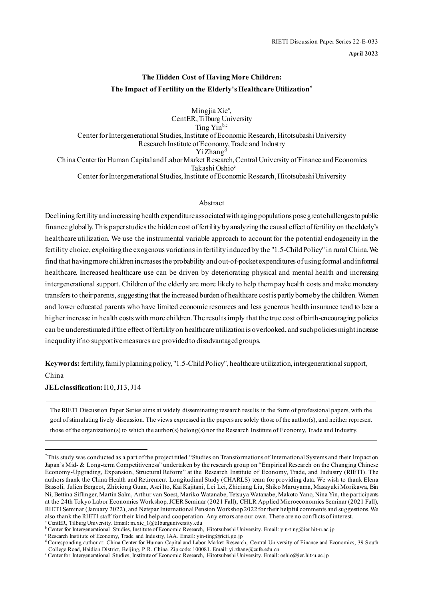**April 2022**

## **The Hidden Cost of Having More Children: The Impact of Fertility on the Elderly's Healthcare Utilization[\\*](#page-1-0)**

Mingjia Xie<sup>a</sup>, CentER, Tilburg University Ting Yin<sup>b,c</sup> Center for Intergenerational Studies, Institute of Economic Research, Hitotsubashi University Research Institute of Economy, Trade and Industry Yi Zhang<sup>d</sup> China Center for Human Capital and Labor Market Research, Central University of Finance and Economics Takashi Oshioe Center for Intergenerational Studies, Institute of Economic Research, Hitotsubashi University

#### Abstract

Declining fertility and increasing health expenditure associated with aging populations pose great challenges to public finance globally. This paper studies the hidden cost of fertility by analyzing the causal effect of fertility on the elderly's healthcare utilization. We use the instrumental variable approach to account for the potential endogeneity in the fertility choice, exploiting the exogenous variations in fertility induced by the "1.5-Child Policy" in rural China. We find that having more children increases the probability and out-of-pocket expenditures of using formal and informal healthcare. Increased healthcare use can be driven by deteriorating physical and mental health and increasing intergenerational support. Children of the elderly are more likely to help them pay health costs and make monetary transfers to their parents, suggesting that the increased burden of healthcare cost is partly borne by the children. Women and lower educated parents who have limited economic resources and less generous health insurance tend to bear a higher increase in health costs with more children. The results imply that the true cost of birth-encouraging policies can be underestimated if the effect of fertility on healthcare utilization is overlooked, and such policies might increase inequality if no supportive measures are provided to disadvantaged groups.

**Keywords:** fertility, family planning policy, "1.5-Child Policy", healthcare utilization, intergenerational support,

China

**JEL classification:** I10, J13, J14

The RIETI Discussion Paper Series aims at widely disseminating research results in the form of professional papers, with the goal of stimulating lively discussion. The views expressed in the papers are solely those of the author(s), and neither represent those of the organization(s) to which the author(s) belong(s) nor the Research Institute of Economy, Trade and Industry.

CentER, Tilburg University. Email: m.xie\_1@tilburguniversity.edu

<span id="page-1-0"></span><sup>\*</sup> This study was conducted as a part of the project titled "Studies on Transformations of International Systems and their Impact on Japan's Mid- & Long-term Competitiveness" undertaken by the research group on "Empirical Research on the Changing Chinese Economy-Upgrading, Expansion, Structural Reform" at the Research Institute of Economy, Trade, and Industry (RIETI). The authors thank the China Health and Retirement Longitudinal Study (CHARLS) team for providing data. We wish to thank Elena Bassoli, Julien Bergeot, Zhixiong Guan, Asei Ito, Kai Kajitani, Lei Lei, Zhiqiang Liu, Shiko Maruyama, Masayuki Morikawa, Bin Ni, Bettina Siflinger, Martin Salm, Arthur van Soest, Mariko Watanabe, Tetsuya Watanabe, Makoto Yano, Nina Yin, the participants at the 24th Tokyo Labor Economics Workshop, JCER Seminar (2021 Fall), CHLR Applied Microeconomics Seminar (2021 Fall), RIETI Seminar (January 2022), and Netspar International Pension Workshop 2022 for their helpful comments and suggestions. We also thank the RIETI staff for their kind help and cooperation. Any errors are our own. There are no conflicts of interest.

<sup>b</sup> Center for Intergenerational Studies, Institute of Economic Research, Hitotsubashi University. Email: yin-ting@ier.hit-u.ac.jp

c Research Institute of Economy, Trade and Industry, IAA. Email: yin-ting@rieti.go.jp

<sup>&</sup>lt;sup>d</sup> Corresponding author at: China Center for Human Capital and Labor Market Research, Central University of Finance and Economics, 39 South College Road, Haidian District, Beijing, P.R. China. Zip code: 100081. Email: yi.

e Center for Intergenerational Studies, Institute of Economic Research, Hitotsubashi University. Email: oshio@ier.hit-u.ac.jp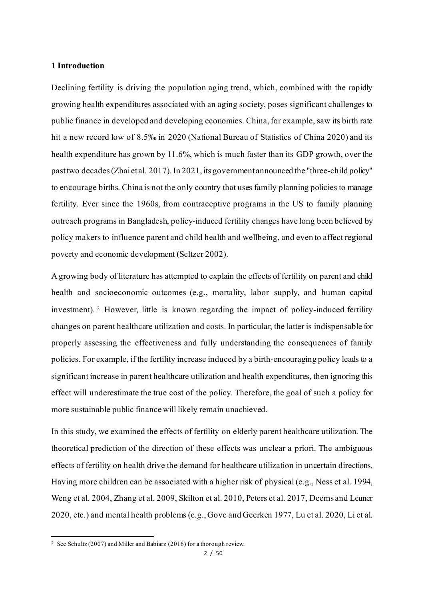#### **1 Introduction**

Declining fertility is driving the population aging trend, which, combined with the rapidly growing health expenditures associated with an aging society, poses significant challenges to public finance in developed and developing economies. China, for example, saw its birth rate hit a new record low of 8.5‰ in 2020 (National Bureau of Statistics of China 2020) and its health expenditure has grown by 11.6%, which is much faster than its GDP growth, over the past two decades (Zhai et al. 2017). In 2021, its government announced the "three-child policy" to encourage births. China is not the only country that uses family planning policies to manage fertility. Ever since the 1960s, from contraceptive programs in the US to family planning outreach programs in Bangladesh, policy-induced fertility changes have long been believed by policy makers to influence parent and child health and wellbeing, and even to affect regional poverty and economic development (Seltzer 2002).

A growing body of literature has attempted to explain the effects of fertility on parent and child health and socioeconomic outcomes (e.g., mortality, labor supply, and human capital investment). [2](#page-2-0) However, little is known regarding the impact of policy-induced fertility changes on parent healthcare utilization and costs. In particular, the latter is indispensable for properly assessing the effectiveness and fully understanding the consequences of family policies. For example, if the fertility increase induced by a birth-encouraging policy leads to a significant increase in parent healthcare utilization and health expenditures, then ignoring this effect will underestimate the true cost of the policy. Therefore, the goal of such a policy for more sustainable public finance will likely remain unachieved.

In this study, we examined the effects of fertility on elderly parent healthcare utilization. The theoretical prediction of the direction of these effects was unclear a priori. The ambiguous effects of fertility on health drive the demand for healthcare utilization in uncertain directions. Having more children can be associated with a higher risk of physical (e.g., Ness et al. 1994, Weng et al. 2004, Zhang et al. 2009, Skilton et al. 2010, Peters et al. 2017, Deems and Leuner 2020, etc.) and mental health problems (e.g., Gove and Geerken 1977, Lu et al. 2020, Li et al.

<span id="page-2-0"></span><sup>2</sup> See Schultz (2007) and Miller and Babiarz (2016) for a thorough review.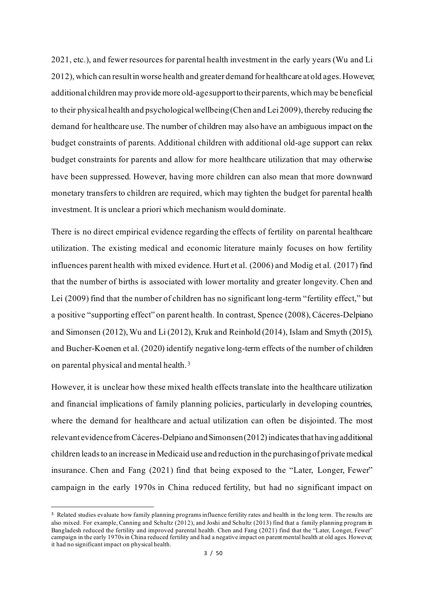2021, etc.), and fewer resources for parental health investment in the early years (Wu and Li 2012), which can result in worse health and greater demand for healthcare at old ages. However, additional children may provide more old-age supportto their parents, which may be beneficial to their physical health and psychological wellbeing (Chen and Lei 2009), thereby reducing the demand for healthcare use. The number of children may also have an ambiguous impact on the budget constraints of parents. Additional children with additional old-age support can relax budget constraints for parents and allow for more healthcare utilization that may otherwise have been suppressed. However, having more children can also mean that more downward monetary transfers to children are required, which may tighten the budget for parental health investment. It is unclear a priori which mechanism would dominate.

There is no direct empirical evidence regarding the effects of fertility on parental healthcare utilization. The existing medical and economic literature mainly focuses on how fertility influences parent health with mixed evidence. Hurt et al. (2006) and Modig et al. (2017) find that the number of births is associated with lower mortality and greater longevity. Chen and Lei (2009) find that the number of children has no significant long-term "fertility effect," but a positive "supporting effect" on parent health. In contrast, Spence (2008), Cáceres-Delpiano and Simonsen (2012), Wu and Li (2012), Kruk and Reinhold (2014), Islam and Smyth (2015), and Bucher-Koenen et al. (2020) identify negative long-term effects of the number of children on parental physical and mental health. [3](#page-3-0)

However, it is unclear how these mixed health effects translate into the healthcare utilization and financial implications of family planning policies, particularly in developing countries, where the demand for healthcare and actual utilization can often be disjointed. The most relevant evidence from Cáceres-Delpiano and Simonsen  $(2012)$  indicates that having additional children leads to an increase in Medicaid use and reduction in the purchasing of private medical insurance. Chen and Fang (2021) find that being exposed to the "Later, Longer, Fewer" campaign in the early 1970s in China reduced fertility, but had no significant impact on

<span id="page-3-0"></span><sup>&</sup>lt;sup>3</sup> Related studies evaluate how family planning programs influence fertility rates and health in the long term. The results are also mixed. For example, Canning and Schultz (2012), and Joshi and Schultz (2013) find that a family planning program in Bangladesh reduced the fertility and improved parental health. Chen and Fang (2021) find that the "Later, Longer, Fewer" campaign in the early 1970s in China reduced fertility and had a negative impact on parent mental health at old ages. However, it had no significant impact on physical health.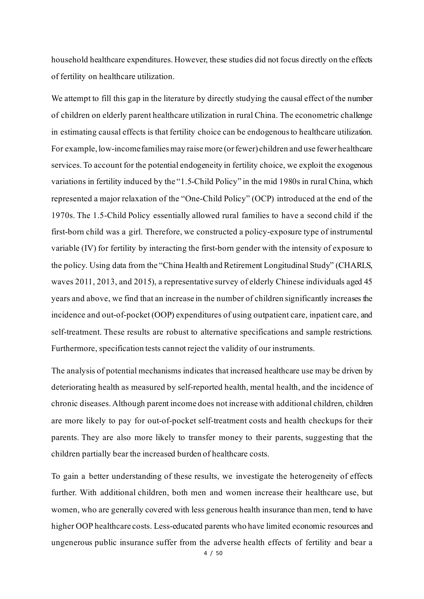household healthcare expenditures. However, these studies did not focus directly on the effects of fertility on healthcare utilization.

We attempt to fill this gap in the literature by directly studying the causal effect of the number of children on elderly parent healthcare utilization in rural China. The econometric challenge in estimating causal effects is that fertility choice can be endogenous to healthcare utilization. For example, low-income families may raise more (or fewer) children and use fewer healthcare services. To account for the potential endogeneity in fertility choice, we exploit the exogenous variations in fertility induced by the "1.5-Child Policy" in the mid 1980s in rural China, which represented a major relaxation of the "One-Child Policy" (OCP) introduced at the end of the 1970s. The 1.5-Child Policy essentially allowed rural families to have a second child if the first-born child was a girl. Therefore, we constructed a policy-exposure type of instrumental variable (IV) for fertility by interacting the first-born gender with the intensity of exposure to the policy. Using data from the "China Health and Retirement Longitudinal Study" (CHARLS, waves 2011, 2013, and 2015), a representative survey of elderly Chinese individuals aged 45 years and above, we find that an increase in the number of children significantly increases the incidence and out-of-pocket (OOP) expenditures of using outpatient care, inpatient care, and self-treatment. These results are robust to alternative specifications and sample restrictions. Furthermore, specification tests cannot reject the validity of our instruments.

The analysis of potential mechanisms indicates that increased healthcare use may be driven by deteriorating health as measured by self-reported health, mental health, and the incidence of chronic diseases. Although parent income does not increase with additional children, children are more likely to pay for out-of-pocket self-treatment costs and health checkups for their parents. They are also more likely to transfer money to their parents, suggesting that the children partially bear the increased burden of healthcare costs.

To gain a better understanding of these results, we investigate the heterogeneity of effects further. With additional children, both men and women increase their healthcare use, but women, who are generally covered with less generous health insurance than men, tend to have higher OOP healthcare costs. Less-educated parents who have limited economic resources and ungenerous public insurance suffer from the adverse health effects of fertility and bear a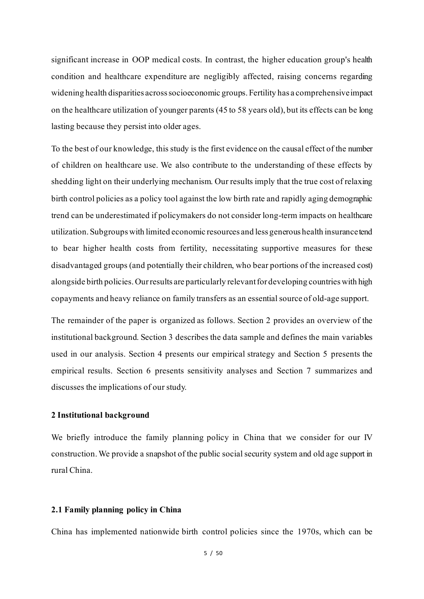significant increase in OOP medical costs. In contrast, the higher education group's health condition and healthcare expenditure are negligibly affected, raising concerns regarding widening health disparities across socioeconomic groups. Fertility has a comprehensive impact on the healthcare utilization of younger parents (45 to 58 years old), but its effects can be long lasting because they persist into older ages.

To the best of our knowledge, this study is the first evidence on the causal effect of the number of children on healthcare use. We also contribute to the understanding of these effects by shedding light on their underlying mechanism. Our results imply that the true cost of relaxing birth control policies as a policy tool against the low birth rate and rapidly aging demographic trend can be underestimated if policymakers do not consider long-term impacts on healthcare utilization. Subgroups with limited economic resources and less generous health insurancetend to bear higher health costs from fertility, necessitating supportive measures for these disadvantaged groups (and potentially their children, who bear portions of the increased cost) alongside birth policies. Ourresults are particularly relevant for developing countries with high copayments and heavy reliance on family transfers as an essential source of old-age support.

The remainder of the paper is organized as follows. Section 2 provides an overview of the institutional background. Section 3 describes the data sample and defines the main variables used in our analysis. Section 4 presents our empirical strategy and Section 5 presents the empirical results. Section 6 presents sensitivity analyses and Section 7 summarizes and discusses the implications of our study.

#### **2 Institutional background**

We briefly introduce the family planning policy in China that we consider for our IV construction. We provide a snapshot of the public social security system and old age support in rural China.

#### **2.1 Family planning policy in China**

China has implemented nationwide birth control policies since the 1970s, which can be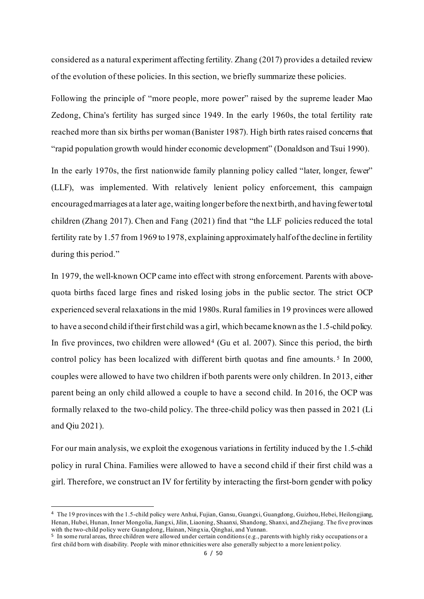considered as a natural experiment affecting fertility. Zhang (2017) provides a detailed review of the evolution of these policies. In this section, we briefly summarize these policies.

Following the principle of "more people, more power" raised by the supreme leader Mao Zedong, China's fertility has surged since 1949. In the early 1960s, the total fertility rate reached more than six births per woman (Banister 1987). High birth rates raised concerns that "rapid population growth would hinder economic development" (Donaldson and Tsui 1990).

In the early 1970s, the first nationwide family planning policy called "later, longer, fewer" (LLF), was implemented. With relatively lenient policy enforcement, this campaign encouragedmarriages at a later age, waiting longer before the next birth, and having fewer total children (Zhang 2017). Chen and Fang (2021) find that "the LLF policies reduced the total fertility rate by 1.57 from 1969 to 1978, explaining approximately half of the decline in fertility during this period."

In 1979, the well-known OCP came into effect with strong enforcement. Parents with abovequota births faced large fines and risked losing jobs in the public sector. The strict OCP experienced several relaxations in the mid 1980s. Rural families in 19 provinces were allowed to have a second child if their first child was a girl, which became known as the 1.5-child policy. In five provinces, two children were allowed<sup>[4](#page-6-0)</sup> (Gu et al. 2007). Since this period, the birth control policy has been localized with different birth quotas and fine amounts.<sup>5</sup> In 2000, couples were allowed to have two children if both parents were only children. In 2013, either parent being an only child allowed a couple to have a second child. In 2016, the OCP was formally relaxed to the two-child policy. The three-child policy was then passed in 2021 (Li and Qiu 2021).

For our main analysis, we exploit the exogenous variations in fertility induced by the 1.5-child policy in rural China. Families were allowed to have a second child if their first child was a girl. Therefore, we construct an IV for fertility by interacting the first-born gender with policy

<span id="page-6-0"></span><sup>4</sup> The 19 provinces with the 1.5-child policy were Anhui, Fujian, Gansu, Guangxi, Guangdong, Guizhou, Hebei, Heilongjiang, Henan, Hubei, Hunan, Inner Mongolia, Jiangxi, Jilin, Liaoning, Shaanxi, Shandong, Shanxi, and Zhejiang. The five provinces with the two-child policy were Guangdong, Hainan, Ningxia, Qinghai, and Yunnan.

<span id="page-6-1"></span><sup>5</sup> In some rural areas, three children were allowed under certain conditions (e.g., parents with highly risky occupations or a first child born with disability. People with minor ethnicities were also generally subject to a more lenient policy.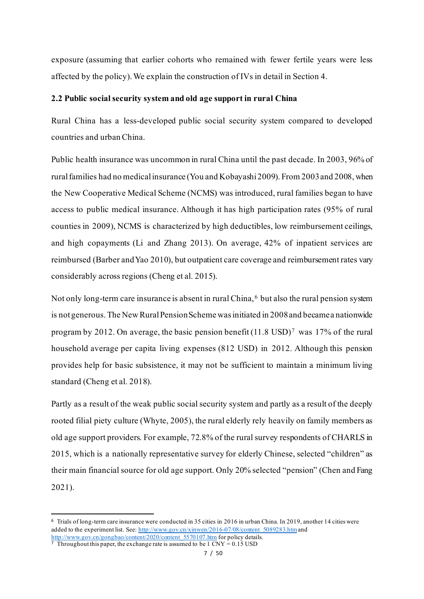exposure (assuming that earlier cohorts who remained with fewer fertile years were less affected by the policy). We explain the construction of IVs in detail in Section 4.

#### **2.2 Public social security system and old age support in rural China**

Rural China has a less-developed public social security system compared to developed countries and urban China.

Public health insurance was uncommon in rural China until the past decade. In 2003, 96% of rural families had no medical insurance (You and Kobayashi 2009). From 2003 and 2008, when the New Cooperative Medical Scheme (NCMS) was introduced, rural families began to have access to public medical insurance. Although it has high participation rates (95% of rural counties in 2009), NCMS is characterized by high deductibles, low reimbursement ceilings, and high copayments (Li and Zhang 2013). On average, 42% of inpatient services are reimbursed (Barber and Yao 2010), but outpatient care coverage and reimbursement rates vary considerably across regions (Cheng et al. 2015).

Not only long-term care insurance is absent in rural China, [6](#page-7-0) but also the rural pension system is not generous. The New Rural Pension Scheme was initiated in 2008 and became a nationwide program by 2012. On average, the basic pension benefit  $(11.8 \text{ USD})^7$  $(11.8 \text{ USD})^7$  was 17% of the rural household average per capita living expenses (812 USD) in 2012. Although this pension provides help for basic subsistence, it may not be sufficient to maintain a minimum living standard (Cheng et al. 2018).

Partly as a result of the weak public social security system and partly as a result of the deeply rooted filial piety culture (Whyte, 2005), the rural elderly rely heavily on family members as old age support providers. For example, 72.8% of the rural survey respondents of CHARLS in 2015, which is a nationally representative survey for elderly Chinese, selected "children" as their main financial source for old age support. Only 20% selected "pension" (Chen and Fang 2021).

<span id="page-7-0"></span><sup>6</sup> Trials of long-term care insurance were conducted in 35 cities in 2016 in urban China. In 2019, another 14 cities were added to the experiment list. See[: http://www.gov.cn/xinwen/2016-07/08/content\\_5089283.htm](http://www.gov.cn/xinwen/2016-07/08/content_5089283.htm) and [http://www.gov.cn/gongbao/content/2020/content\\_5570107.htm](http://www.gov.cn/gongbao/content/2020/content_5570107.htm) for policy details.

<span id="page-7-1"></span> $\overline{7}$  Throughout this paper, the exchange rate is assumed to be 1 CNY = 0.15 USD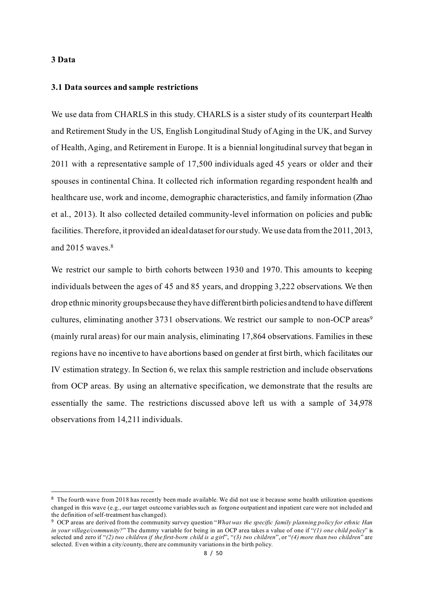#### **3 Data**

#### **3.1 Data sources and sample restrictions**

We use data from CHARLS in this study. CHARLS is a sister study of its counterpart Health and Retirement Study in the US, English Longitudinal Study of Aging in the UK, and Survey of Health, Aging, and Retirement in Europe. It is a biennial longitudinal survey that began in 2011 with a representative sample of 17,500 individuals aged 45 years or older and their spouses in continental China. It collected rich information regarding respondent health and healthcare use, work and income, demographic characteristics, and family information (Zhao et al., 2013). It also collected detailed community-level information on policies and public facilities. Therefore, it provided an ideal dataset for our study. We use data from the 2011, 2013, and  $2015$  waves.  $8$ 

We restrict our sample to birth cohorts between 1930 and 1970. This amounts to keeping individuals between the ages of 45 and 85 years, and dropping 3,222 observations. We then drop ethnic minority groups because they have different birth policies and tend to have different cultures, eliminating another 3731 observations. We restrict our sample to non-OCP areas<sup>9</sup> (mainly rural areas) for our main analysis, eliminating 17,864 observations. Families in these regions have no incentive to have abortions based on gender at first birth, which facilitates our IV estimation strategy. In Section 6, we relax this sample restriction and include observations from OCP areas. By using an alternative specification, we demonstrate that the results are essentially the same. The restrictions discussed above left us with a sample of 34,978 observations from 14,211 individuals.

<span id="page-8-0"></span><sup>&</sup>lt;sup>8</sup> The fourth wave from 2018 has recently been made available. We did not use it because some health utilization questions changed in this wave (e.g., our target outcome variables such as forgone outpatient and inpatient care were not included and the definition of self-treatment has changed).

<span id="page-8-1"></span><sup>9</sup> OCP areas are derived from the community survey question "*What was the specific family planning policy for ethnic Han in your village/community?*" The dummy variable for being in an OCP area takes a value of one if "*(1) one child policy*" is selected and zero if "*(2) two children if the first-born child is a girl*", "*(3) two children*", or "*(4) more than two children*" are selected. Even within a city/county, there are community variations in the birth policy.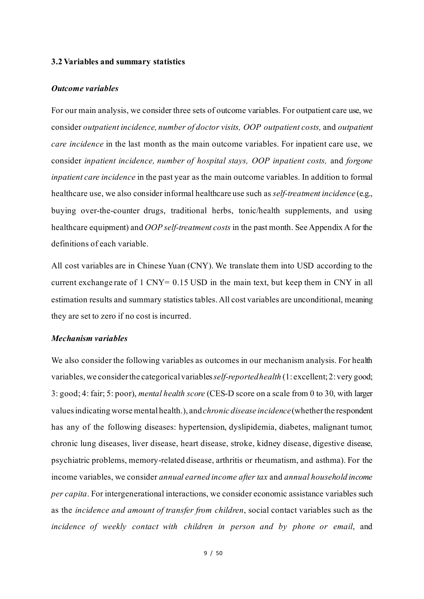#### **3.2 Variables and summary statistics**

#### *Outcome variables*

For our main analysis, we consider three sets of outcome variables. For outpatient care use, we consider *outpatient incidence, number of doctor visits, OOP outpatient costs,* and *outpatient care incidence* in the last month as the main outcome variables. For inpatient care use, we consider *inpatient incidence, number of hospital stays, OOP inpatient costs,* and *forgone inpatient care incidence* in the past year as the main outcome variables. In addition to formal healthcare use, we also consider informal healthcare use such as *self-treatment incidence* (e.g., buying over-the-counter drugs, traditional herbs, tonic/health supplements, and using healthcare equipment) and *OOP self-treatment costs* in the past month. See Appendix A for the definitions of each variable.

All cost variables are in Chinese Yuan (CNY). We translate them into USD according to the current exchange rate of 1 CNY= 0.15 USD in the main text, but keep them in CNY in all estimation results and summary statistics tables. All cost variables are unconditional, meaning they are set to zero if no cost is incurred.

#### *Mechanism variables*

We also consider the following variables as outcomes in our mechanism analysis. For health variables, we consider the categorical variables*self-reported health* (1: excellent; 2: very good; 3: good; 4: fair; 5: poor), *mental health score* (CES-D score on a scale from 0 to 30, with larger valuesindicating worse mental health.), and*chronic disease incidence*(whether the respondent has any of the following diseases: hypertension, dyslipidemia, diabetes, malignant tumor, chronic lung diseases, liver disease, heart disease, stroke, kidney disease, digestive disease, psychiatric problems, memory-related disease, arthritis or rheumatism, and asthma). For the income variables, we consider *annual earned income after tax* and *annual household income per capita*. For intergenerational interactions, we consider economic assistance variables such as the *incidence and amount of transfer from children*, social contact variables such as the *incidence of weekly contact with children in person and by phone or email*, and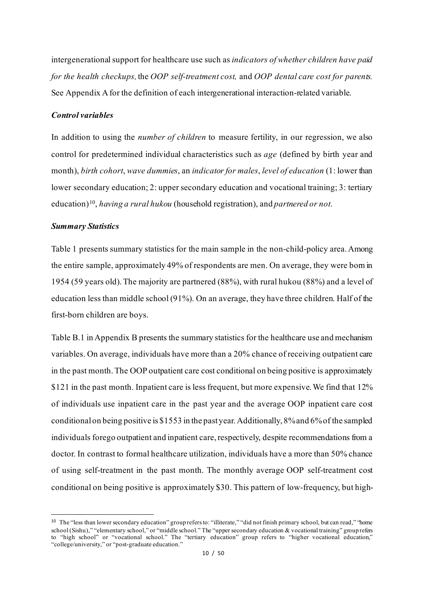intergenerational support for healthcare use such as *indicators of whether children have paid for the health checkups,* the *OOP self-treatment cost,* and *OOP dental care cost for parents.* See Appendix A for the definition of each intergenerational interaction-related variable.

#### *Control variables*

In addition to using the *number of children* to measure fertility, in our regression, we also control for predetermined individual characteristics such as *age* (defined by birth year and month), *birth cohort*, *wave dummies*, an *indicator for males*, *level of education* (1: lower than lower secondary education; 2: upper secondary education and vocational training; 3: tertiary education)[10,](#page-10-0) *having a rural hukou* (household registration), and *partnered or not*.

#### *Summary Statistics*

Table 1 presents summary statistics for the main sample in the non-child-policy area. Among the entire sample, approximately 49% of respondents are men. On average, they were born in 1954 (59 years old).The majority are partnered (88%), with rural hukou (88%) and a level of education less than middle school (91%). On an average, they have three children. Half of the first-born children are boys.

Table B.1 in Appendix B presents the summary statistics for the healthcare use and mechanism variables. On average, individuals have more than a 20% chance of receiving outpatient care in the past month. The OOP outpatient care cost conditional on being positive is approximately \$121 in the past month. Inpatient care is less frequent, but more expensive. We find that 12% of individuals use inpatient care in the past year and the average OOP inpatient care cost conditional on being positive is \$1553 in the past year. Additionally, 8% and 6% of the sampled individuals forego outpatient and inpatient care, respectively, despite recommendations from a doctor. In contrast to formal healthcare utilization, individuals have a more than 50% chance of using self-treatment in the past month. The monthly average OOP self-treatment cost conditional on being positive is approximately \$30. This pattern of low-frequency, but high-

<span id="page-10-0"></span><sup>10</sup> The "less than lower secondary education" group refers to: "illiterate," "did not finish primary school, but can read," "home school (Sishu)," "elementary school," or "middle school." The "upper secondary education & vocational training" group refers to "high school" or "vocational school." The "tertiary education" group refers to "higher vocational education," "college/university," or "post-graduate education."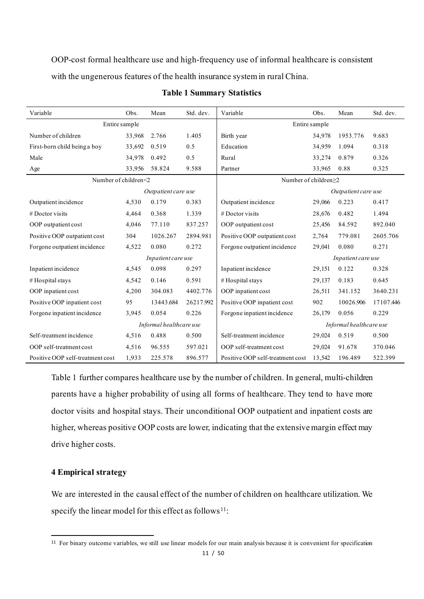OOP-cost formal healthcare use and high-frequency use of informal healthcare is consistent with the ungenerous features of the health insurance system in rural China.

| Variable                         | Obs.   | Mean                | Std. dev. | Variable                         | Obs.   | Mean                    | Std. dev. |  |
|----------------------------------|--------|---------------------|-----------|----------------------------------|--------|-------------------------|-----------|--|
| Entire sample                    |        |                     |           | Entire sample                    |        |                         |           |  |
| Number of children               | 33,968 | 2.766               | 1.405     | Birth year                       | 34,978 | 1953.776                | 9.683     |  |
| First-born child being a boy     | 33,692 | 0.519               | 0.5       | Education                        | 34,959 | 1.094                   | 0.318     |  |
| Male                             | 34,978 | 0.492               | 0.5       | Rural                            | 33,274 | 0.879                   | 0.326     |  |
| Age                              | 33,956 | 58.824              | 9.588     | Partner                          | 33,965 | 0.88                    | 0.325     |  |
| Number of children<2             |        |                     |           | Number of children≥2             |        |                         |           |  |
|                                  |        | Outpatient care use |           |                                  |        | Outpatient care use     |           |  |
| Outpatient incidence             | 4,530  | 0.179               | 0.383     | Outpatient incidence             | 29,066 | 0.223                   | 0.417     |  |
| $#$ Doctor visits                | 4,464  | 0.368               | 1.339     | $#$ Doctor visits                | 28,676 | 0.482                   | 1.494     |  |
| OOP outpatient cost              | 4,046  | 77.110              | 837.257   | OOP outpatient cost              | 25,456 | 84.592                  | 892.040   |  |
| Positive OOP outpatient cost     | 304    | 1026.267            | 2894.981  | Positive OOP outpatient cost     | 2,764  | 779.081                 | 2605.706  |  |
| Forgone outpatient incidence     | 4,522  | 0.080               | 0.272     | Forgone outpatient incidence     | 29,041 | 0.080                   | 0.271     |  |
|                                  |        | Inpatient care use  |           |                                  |        | Inpatient care use      |           |  |
| Inpatient incidence              | 4,545  | 0.098               | 0.297     | Inpatient incidence              | 29,151 | 0.122                   | 0.328     |  |
| # Hospital stays                 | 4,542  | 0.146               | 0.591     | #Hospital stays                  | 29,137 | 0.183                   | 0.645     |  |
| OOP inpatient cost               | 4,200  | 304.083             | 4402.776  | OOP inpatient cost               | 26,511 | 341.152                 | 3640.231  |  |
| Positive OOP inpatient cost      | 95     | 13443.684           | 26217.992 | Positive OOP inpatient cost      | 902    | 10026.906               | 17107.446 |  |
| Forgone inpatient incidence      | 3,945  | 0.054               | 0.226     | Forgone inpatient incidence      | 26,179 | 0.056                   | 0.229     |  |
| Informal healthcare use          |        |                     |           |                                  |        | Informal healthcare use |           |  |
| Self-treatment incidence         | 4,516  | 0.488               | 0.500     | Self-treatment incidence         | 29,024 | 0.519                   | 0.500     |  |
| OOP self-treatment cost          | 4,516  | 96.555              | 597.021   | OOP self-treatment cost          | 29,024 | 91.678                  | 370.046   |  |
| Positive OOP self-treatment cost | 1,933  | 225.578             | 896.577   | Positive OOP self-treatment cost | 13.542 | 196.489                 | 522.399   |  |

#### **Table 1 Summary Statistics**

Table 1 further compares healthcare use by the number of children. In general, multi-children parents have a higher probability of using all forms of healthcare. They tend to have more doctor visits and hospital stays. Their unconditional OOP outpatient and inpatient costs are higher, whereas positive OOP costs are lower, indicating that the extensive margin effect may drive higher costs.

#### **4 Empirical strategy**

We are interested in the causal effect of the number of children on healthcare utilization. We specify the linear model for this effect as follows<sup>11</sup>:

<span id="page-11-0"></span><sup>11</sup> For binary outcome variables, we still use linear models for our main analysis because it is convenient for specification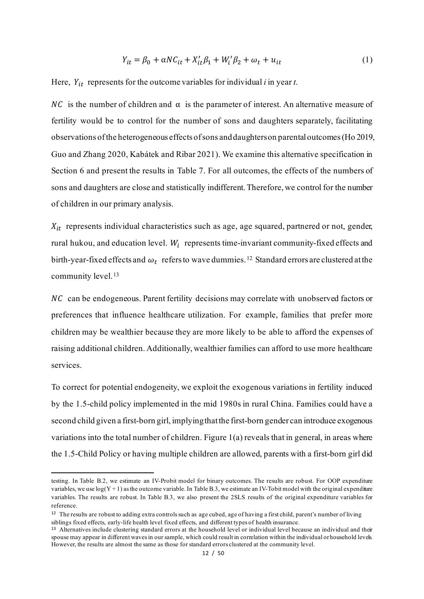$$
Y_{it} = \beta_0 + \alpha N C_{it} + X_{it}' \beta_1 + W_i' \beta_2 + \omega_t + u_{it}
$$
\n<sup>(1)</sup>

Here,  $Y_{it}$  represents for the outcome variables for individual *i* in year *t*.

NC is the number of children and  $\alpha$  is the parameter of interest. An alternative measure of fertility would be to control for the number of sons and daughters separately, facilitating observations ofthe heterogeneous effects of sons and daughters on parental outcomes (Ho 2019, Guo and Zhang 2020, Kabátek and Ribar 2021). We examine this alternative specification in Section 6 and present the results in Table 7. For all outcomes, the effects of the numbers of sons and daughters are close and statistically indifferent.Therefore, we control for the number of children in our primary analysis.

 $X_{it}$  represents individual characteristics such as age, age squared, partnered or not, gender, rural hukou, and education level.  $W_i$  represents time-invariant community-fixed effects and birth-year-fixed effects and  $\omega_t$  refers to wave dummies.<sup>[12](#page-12-0)</sup> Standard errors are clustered at the community level. [13](#page-12-1)

NC can be endogeneous. Parent fertility decisions may correlate with unobserved factors or preferences that influence healthcare utilization. For example, families that prefer more children may be wealthier because they are more likely to be able to afford the expenses of raising additional children. Additionally, wealthier families can afford to use more healthcare services.

To correct for potential endogeneity, we exploit the exogenous variations in fertility induced by the 1.5-child policy implemented in the mid 1980s in rural China. Families could have a second child given a first-born girl, implyingthat the first-born gender can introduce exogenous variations into the total number of children. Figure 1(a) reveals that in general, in areas where the 1.5-Child Policy or having multiple children are allowed, parents with a first-born girl did

testing. In Table B.2, we estimate an IV-Probit model for binary outcomes. The results are robust. For OOP expenditure variables, we use  $log(Y+1)$  as the outcome variable. In Table B.3, we estimate an IV-Tobit model with the original expenditure variables. The results are robust. In Table B.3, we also present the 2SLS results of the original expenditure variables for reference.

<span id="page-12-0"></span><sup>12</sup> The results are robust to adding extra controlssuch as age cubed, age of having a first child, parent's number of living siblings fixed effects, early-life health level fixed effects, and different types of health insurance.

<span id="page-12-1"></span><sup>13</sup> Alternatives include clustering standard errors at the household level or individual level because an individual and their spouse may appear in different waves in our sample, which could result in correlation within the individual or household levels. However, the results are almost the same as those for standard errors clustered at the community level.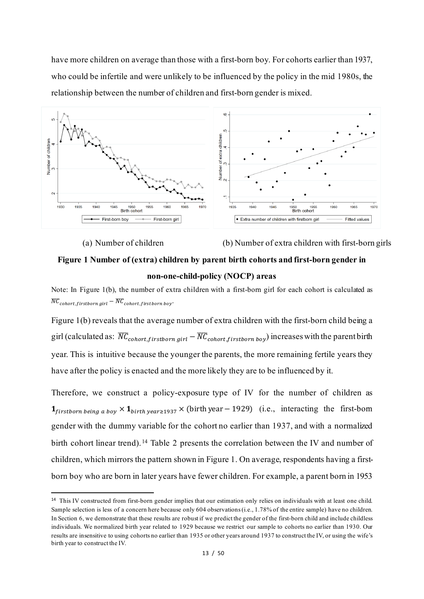have more children on average than those with a first-born boy. For cohorts earlier than 1937, who could be infertile and were unlikely to be influenced by the policy in the mid 1980s, the relationship between the number of children and first-born gender is mixed.



(a) Number of children (b) Number of extra children with first-born girls

## **Figure 1 Number of (extra) children by parent birth cohorts and first-born gender in non-one-child-policy (NOCP) areas**

Note: In Figure 1(b), the number of extra children with a first-born girl for each cohort is calculated as  $\overline{NC}_{cohort, firstborn\ girl} - \overline{NC}_{cohort, firstborn\ boy}.$ 

Figure 1(b) reveals that the average number of extra children with the first-born child being a girl (calculated as:  $\overline{NC}_{cohort, firstborn\, girl} - \overline{NC}_{cohort, firstborn\, boy})$  increases with the parent birth year. This is intuitive because the younger the parents, the more remaining fertile years they have after the policy is enacted and the more likely they are to be influenced by it.

Therefore, we construct a policy-exposure type of IV for the number of children as  $1_{firstborn\ being\ a\ boy} \times 1_{birth\ year \ge 1937} \times$  (birth year - 1929) (i.e., interacting the first-bom gender with the dummy variable for the cohort no earlier than 1937, and with a normalized birth cohort linear trend). [14](#page-13-0) Table 2 presents the correlation between the IV and number of children, which mirrors the pattern shown in Figure 1. On average, respondents having a firstborn boy who are born in later years have fewer children. For example, a parent born in 1953

<span id="page-13-0"></span><sup>14</sup> This IV constructed from first-born gender implies that our estimation only relies on individuals with at least one child. Sample selection is less of a concern here because only 604 observations (i.e., 1.78% of the entire sample) have no children. In Section 6, we demonstrate that these results are robust if we predict the gender of the first-born child and include childless individuals. We normalized birth year related to 1929 because we restrict our sample to cohorts no earlier than 1930. Our results are insensitive to using cohorts no earlier than 1935 or other years around 1937 to construct the IV, or using the wife's birth year to construct the IV.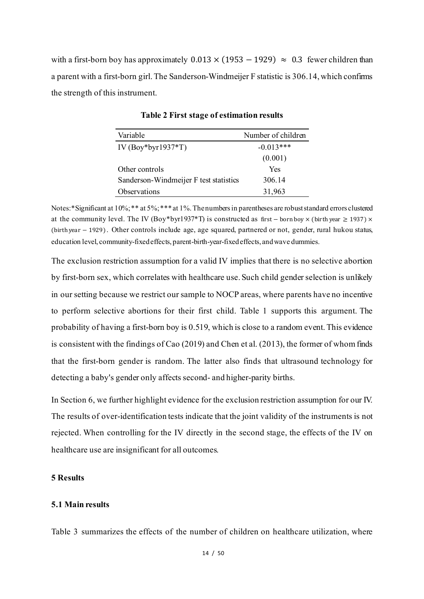with a first-born boy has approximately  $0.013 \times (1953 - 1929) \approx 0.3$  fewer children than a parent with a first-born girl.The Sanderson-Windmeijer F statistic is 306.14, which confirms the strength of this instrument.

| Variable                               | Number of children |
|----------------------------------------|--------------------|
| IV (Boy*byr1937*T)                     | $-0.013***$        |
|                                        | (0.001)            |
| Other controls                         | Yes                |
| Sanderson-Windmeijer F test statistics | 306.14             |
| Observations                           | 31,963             |

**Table 2 First stage of estimation results**

Notes:\*Significant at 10%; \*\* at 5%; \*\*\* at 1%. The numbers in parentheses are robust standard errors clustered at the community level. The IV (Boy\*byr1937\*T) is constructed as first − born boy × (birth year ≥ 1937) × (birth year − 1929) . Other controls include age, age squared, partnered or not, gender, rural hukou status, education level, community-fixed effects, parent-birth-year-fixed effects, and wave dummies.

The exclusion restriction assumption for a valid IV implies that there is no selective abortion by first-born sex, which correlates with healthcare use. Such child gender selection is unlikely in our setting because we restrict our sample to NOCP areas, where parents have no incentive to perform selective abortions for their first child. Table 1 supports this argument. The probability of having a first-born boy is 0.519, which is close to a random event. This evidence is consistent with the findings of Cao (2019) and Chen et al. (2013), the former of whom finds that the first-born gender is random. The latter also finds that ultrasound technology for detecting a baby's gender only affects second- and higher-parity births.

In Section 6, we further highlight evidence for the exclusion restriction assumption for our IV. The results of over-identification tests indicate that the joint validity of the instruments is not rejected. When controlling for the IV directly in the second stage, the effects of the IV on healthcare use are insignificant for all outcomes.

#### **5 Results**

#### **5.1 Main results**

Table 3 summarizes the effects of the number of children on healthcare utilization, where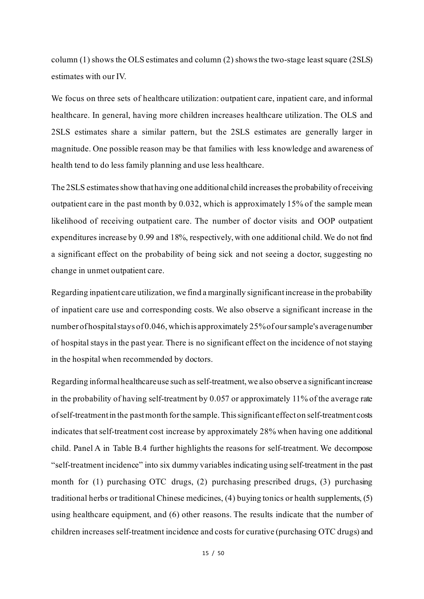column  $(1)$  shows the OLS estimates and column  $(2)$  shows the two-stage least square  $(2SLS)$ estimates with our IV.

We focus on three sets of healthcare utilization: outpatient care, inpatient care, and informal healthcare. In general, having more children increases healthcare utilization. The OLS and 2SLS estimates share a similar pattern, but the 2SLS estimates are generally larger in magnitude. One possible reason may be that families with less knowledge and awareness of health tend to do less family planning and use less healthcare.

The 2SLS estimates show that having one additional child increases the probability of receiving outpatient care in the past month by 0.032, which is approximately 15% of the sample mean likelihood of receiving outpatient care. The number of doctor visits and OOP outpatient expenditures increase by 0.99 and 18%, respectively, with one additional child. We do not find a significant effect on the probability of being sick and not seeing a doctor, suggesting no change in unmet outpatient care.

Regarding inpatient care utilization, we find a marginally significant increase in the probability of inpatient care use and corresponding costs. We also observe a significant increase in the number of hospital stays of 0.046, which is approximately 25% of our sample's average number of hospital stays in the past year. There is no significant effect on the incidence of not staying in the hospital when recommended by doctors.

Regarding informal healthcare use such as self-treatment, we also observe a significant increase in the probability of having self-treatment by 0.057 or approximately 11% of the average rate of self-treatment in the past month for the sample. This significant effect on self-treatment costs indicates that self-treatment cost increase by approximately 28% when having one additional child. Panel A in Table B.4 further highlights the reasons for self-treatment. We decompose "self-treatment incidence" into six dummy variables indicating using self-treatment in the past month for (1) purchasing OTC drugs, (2) purchasing prescribed drugs, (3) purchasing traditional herbs or traditional Chinese medicines, (4) buying tonics or health supplements, (5) using healthcare equipment, and (6) other reasons. The results indicate that the number of children increases self-treatment incidence and costs for curative (purchasing OTC drugs) and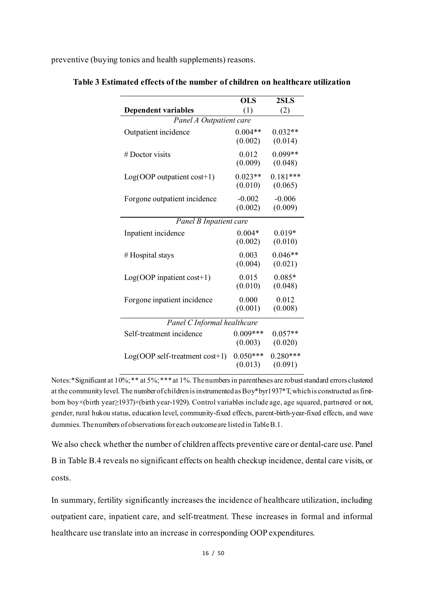preventive (buying tonics and health supplements) reasons.

|                                          | $\overline{\text{OLS}}$ | 2SLS                  |  |  |  |  |
|------------------------------------------|-------------------------|-----------------------|--|--|--|--|
| <b>Dependent variables</b>               | (1)                     | (2)                   |  |  |  |  |
| Panel A Outpatient care                  |                         |                       |  |  |  |  |
| Outpatient incidence                     | $0.004**$<br>(0.002)    | $0.032**$<br>(0.014)  |  |  |  |  |
| # Doctor visits                          | 0.012<br>(0.009)        | $0.099**$<br>(0.048)  |  |  |  |  |
| $Log(OOP$ outpatient $cost+1)$           | $0.023**$<br>(0.010)    | $0.181***$<br>(0.065) |  |  |  |  |
| Forgone outpatient incidence             | $-0.002$<br>(0.002)     | $-0.006$<br>(0.009)   |  |  |  |  |
| Panel B Inpatient care                   |                         |                       |  |  |  |  |
| Inpatient incidence                      | $0.004*$<br>(0.002)     | $0.019*$<br>(0.010)   |  |  |  |  |
| #Hospital stays                          | 0.003<br>(0.004)        | $0.046**$<br>(0.021)  |  |  |  |  |
| $Log(OOP$ inpatient cost+1)              | 0.015<br>(0.010)        | $0.085*$<br>(0.048)   |  |  |  |  |
| Forgone inpatient incidence              | 0.000<br>(0.001)        | 0.012<br>(0.008)      |  |  |  |  |
| Panel C Informal healthcare              |                         |                       |  |  |  |  |
| Self-treatment incidence                 | $0.009***$<br>(0.003)   | $0.057**$<br>(0.020)  |  |  |  |  |
| $Log(OOP \text{ self-treatment cost+1})$ | $0.050***$<br>(0.013)   | $0.280***$<br>(0.091) |  |  |  |  |

**Table 3 Estimated effects of the number of children on healthcare utilization**

Notes:\*Significant at 10%; \*\* at 5%; \*\*\* at 1%. The numbers in parentheses are robust standard errors clustered at the community level. The number of children is instrumented as Boy\*byr1937\*T,which is constructed as firstborn boy×(birth year≥1937)×(birth year-1929). Control variables include age, age squared, partnered or not, gender, rural hukou status, education level, community-fixed effects, parent-birth-year-fixed effects, and wave dummies.The numbers of observations for each outcome are listedin Table B.1.

We also check whether the number of children affects preventive care or dental-care use. Panel B in Table B.4 reveals no significant effects on health checkup incidence, dental care visits, or costs.

In summary, fertility significantly increases the incidence of healthcare utilization, including outpatient care, inpatient care, and self-treatment. These increases in formal and informal healthcare use translate into an increase in corresponding OOP expenditures.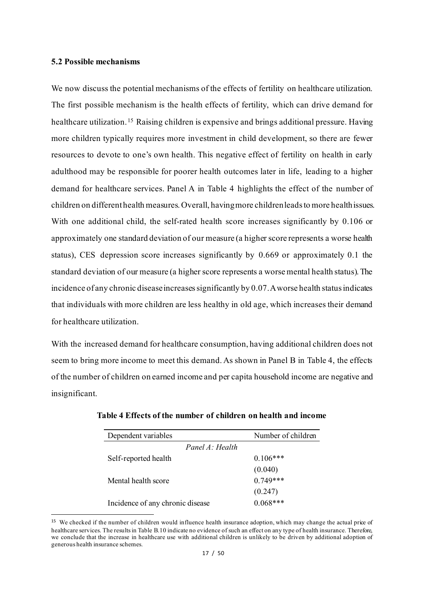#### **5.2 Possible mechanisms**

We now discuss the potential mechanisms of the effects of fertility on healthcare utilization. The first possible mechanism is the health effects of fertility, which can drive demand for healthcare utilization.<sup>[15](#page-17-0)</sup> Raising children is expensive and brings additional pressure. Having more children typically requires more investment in child development, so there are fewer resources to devote to one's own health. This negative effect of fertility on health in early adulthood may be responsible for poorer health outcomes later in life, leading to a higher demand for healthcare services. Panel A in Table 4 highlights the effect of the number of children on different health measures. Overall, having more children leads to more health issues. With one additional child, the self-rated health score increases significantly by 0.106 or approximately one standard deviation of our measure (a higher score represents a worse health status), CES depression score increases significantly by 0.669 or approximately 0.1 the standard deviation of our measure (a higher score represents a worse mental health status). The incidence of any chronic disease increases significantly by 0.07. A worse health status indicates that individuals with more children are less healthy in old age, which increases their demand for healthcare utilization.

With the increased demand for healthcare consumption, having additional children does not seem to bring more income to meet this demand. As shown in Panel B in Table 4, the effects of the number of children on earned income and per capita household income are negative and insignificant.

| Dependent variables              | Number of children |
|----------------------------------|--------------------|
| Panel $A \cdot Health$           |                    |
| Self-reported health             | $0.106***$         |
|                                  | (0.040)            |
| Mental health score              | $0.749***$         |
|                                  | (0.247)            |
| Incidence of any chronic disease | $0.068***$         |

<span id="page-17-0"></span><sup>15</sup> We checked if the number of children would influence health insurance adoption, which may change the actual price of healthcare services. The results in Table B.10 indicate no evidence of such an effect on any type of health insurance. Therefore, we conclude that the increase in healthcare use with additional children is unlikely to be driven by additional adoption of generous health insurance schemes.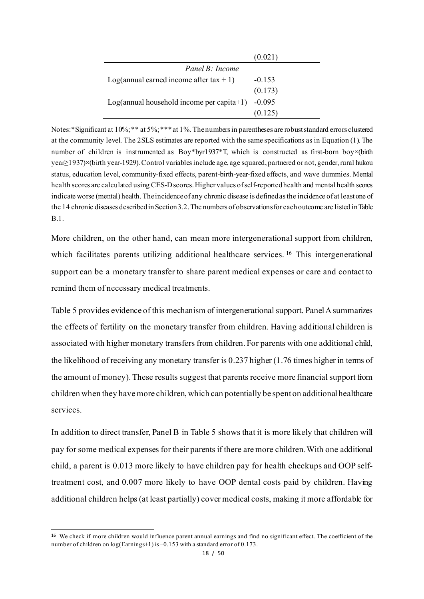|                                             | (0.021)  |
|---------------------------------------------|----------|
| Panel B: Income                             |          |
| Log(annual earned income after tax $+1$ )   | $-0.153$ |
|                                             | (0.173)  |
| $Log(annual household income per capita+1)$ | $-0.095$ |
|                                             | (0.125)  |

Notes:\*Significant at 10%; \*\* at 5%; \*\*\* at 1%. The numbers in parentheses are robust standard errors clustered at the community level. The 2SLS estimates are reported with the same specifications as in Equation (1). The number of children is instrumented as Boy\*byr1937\*T, which is constructed as first-born boy×(birth year≥1937)×(birth year-1929).Control variables include age, age squared, partnered or not, gender, rural hukou status, education level, community-fixed effects, parent-birth-year-fixed effects, and wave dummies. Mental health scores are calculated using CES-D scores. Higher values of self-reported health and mental health scores indicate worse (mental) health. The incidence of any chronic disease is defined as the incidence of at least one of the 14 chronic diseases described in Section 3.2.The numbers of observations for each outcome are listed in Table B.1.

More children, on the other hand, can mean more intergenerational support from children, which facilitates parents utilizing additional healthcare services. <sup>16</sup> This intergenerational support can be a monetary transfer to share parent medical expenses or care and contact to remind them of necessary medical treatments.

Table 5 provides evidence of this mechanism of intergenerational support. Panel A summarizes the effects of fertility on the monetary transfer from children. Having additional children is associated with higher monetary transfers from children. For parents with one additional child, the likelihood of receiving any monetary transfer is 0.237 higher (1.76 times higher in terms of the amount of money). These results suggest that parents receive more financial support from children when they have more children, which can potentially be spent on additional healthcare services.

In addition to direct transfer, Panel B in Table 5 shows that it is more likely that children will pay for some medical expenses for their parents if there are more children. With one additional child, a parent is 0.013 more likely to have children pay for health checkups and OOP selftreatment cost, and 0.007 more likely to have OOP dental costs paid by children. Having additional children helps (at least partially) cover medical costs, making it more affordable for

<span id="page-18-0"></span><sup>&</sup>lt;sup>16</sup> We check if more children would influence parent annual earnings and find no significant effect. The coefficient of the number of children on log(Earnings+1) is −0.153 with a standard error of 0.173.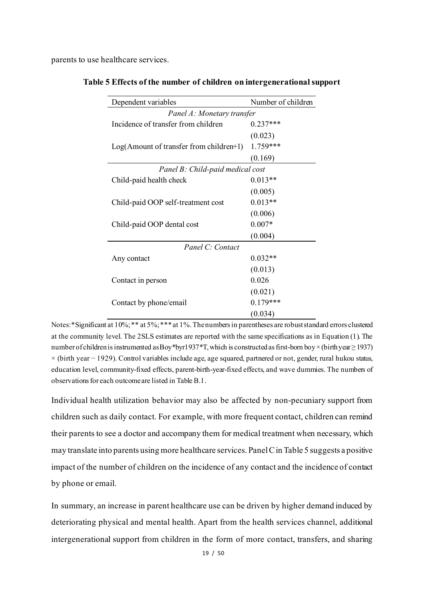parents to use healthcare services.

|  |  |  |  | Table 5 Effects of the number of children on intergenerational support |  |
|--|--|--|--|------------------------------------------------------------------------|--|
|  |  |  |  |                                                                        |  |

| Dependent variables                        | Number of children |  |  |  |  |
|--------------------------------------------|--------------------|--|--|--|--|
| Panel A: Monetary transfer                 |                    |  |  |  |  |
| Incidence of transfer from children        | $0.237***$         |  |  |  |  |
|                                            | (0.023)            |  |  |  |  |
| $Log(A$ mount of transfer from children+1) | $1.759***$         |  |  |  |  |
|                                            | (0.169)            |  |  |  |  |
| Panel B: Child-paid medical cost           |                    |  |  |  |  |
| Child-paid health check                    | $0.013**$          |  |  |  |  |
|                                            | (0.005)            |  |  |  |  |
| Child-paid OOP self-treatment cost         | $0.013**$          |  |  |  |  |
|                                            | (0.006)            |  |  |  |  |
| Child-paid OOP dental cost                 | $0.007*$           |  |  |  |  |
|                                            | (0.004)            |  |  |  |  |
| Panel C: Contact                           |                    |  |  |  |  |
| Any contact                                | $0.032**$          |  |  |  |  |
|                                            | (0.013)            |  |  |  |  |
| Contact in person                          | 0.026              |  |  |  |  |
|                                            | (0.021)            |  |  |  |  |
| Contact by phone/email                     | $0.179***$         |  |  |  |  |
|                                            | (0.034)            |  |  |  |  |

Notes:\*Significant at 10%; \*\* at 5%; \*\*\* at 1%. The numbers in parentheses are robust standard errors clustered at the community level. The 2SLS estimates are reported with the same specifications as in Equation (1). The number of children is instrumented as Boy\*byr1937\*T,which is constructed as first-born boy×(birth year≥ 1937) × (birth year − 1929). Control variables include age, age squared, partnered or not, gender, rural hukou status, education level, community-fixed effects, parent-birth-year-fixed effects, and wave dummies. The numbers of observations for each outcome are listed in Table B.1.

Individual health utilization behavior may also be affected by non-pecuniary support from children such as daily contact. For example, with more frequent contact, children can remind their parents to see a doctor and accompany them for medical treatment when necessary, which may translate into parents using more healthcare services. Panel C in Table 5 suggests a positive impact of the number of children on the incidence of any contact and the incidence of contact by phone or email.

In summary, an increase in parent healthcare use can be driven by higher demand induced by deteriorating physical and mental health. Apart from the health services channel, additional intergenerational support from children in the form of more contact, transfers, and sharing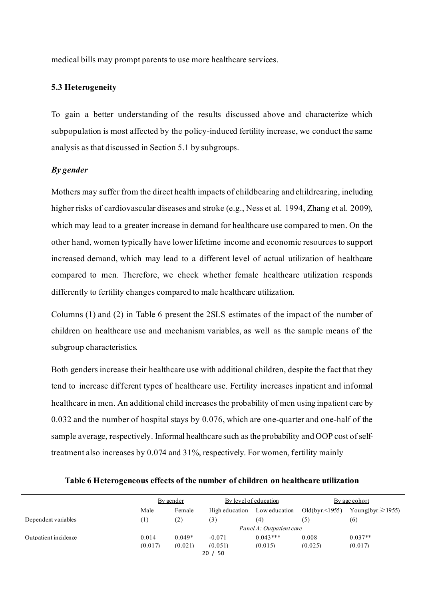medical bills may prompt parents to use more healthcare services.

#### **5.3 Heterogeneity**

To gain a better understanding of the results discussed above and characterize which subpopulation is most affected by the policy-induced fertility increase, we conduct the same analysis as that discussed in Section 5.1 by subgroups.

#### *By gender*

Mothers may suffer from the direct health impacts of childbearing and childrearing, including higher risks of cardiovascular diseases and stroke (e.g., Ness et al. 1994, Zhang et al. 2009), which may lead to a greater increase in demand for healthcare use compared to men. On the other hand, women typically have lower lifetime income and economic resources to support increased demand, which may lead to a different level of actual utilization of healthcare compared to men. Therefore, we check whether female healthcare utilization responds differently to fertility changes compared to male healthcare utilization.

Columns (1) and (2) in Table 6 present the 2SLS estimates of the impact of the number of children on healthcare use and mechanism variables, as well as the sample means of the subgroup characteristics.

Both genders increase their healthcare use with additional children, despite the fact that they tend to increase different types of healthcare use. Fertility increases inpatient and informal healthcare in men. An additional child increases the probability of men using inpatient care by 0.032 and the number of hospital stays by 0.076, which are one-quarter and one-half of the sample average, respectively. Informal healthcare such as the probability and OOP cost of selftreatment also increases by 0.074 and 31%, respectively. For women, fertility mainly

|                      | By gender |          | By level of education |                          | By age cohort    |                          |
|----------------------|-----------|----------|-----------------------|--------------------------|------------------|--------------------------|
|                      | Male      | Female   | High education        | Low education            | Old $(byr<1955)$ | Young(byr. $\geq 1955$ ) |
| Dependent variables  |           | (2)      | 3)                    | (4)                      |                  | (6)                      |
|                      |           |          |                       | Panel A: Outpatient care |                  |                          |
| Outpatient incidence | 0.014     | $0.049*$ | $-0.071$              | $0.043***$               | 0.008            | $0.037**$                |
|                      | (0.017)   | (0.021)  | (0.051)               | (0.015)                  | (0.025)          | (0.017)                  |
|                      |           |          | - 50<br>20/           |                          |                  |                          |

**Table 6 Heterogeneous effects of the number of children on healthcare utilization**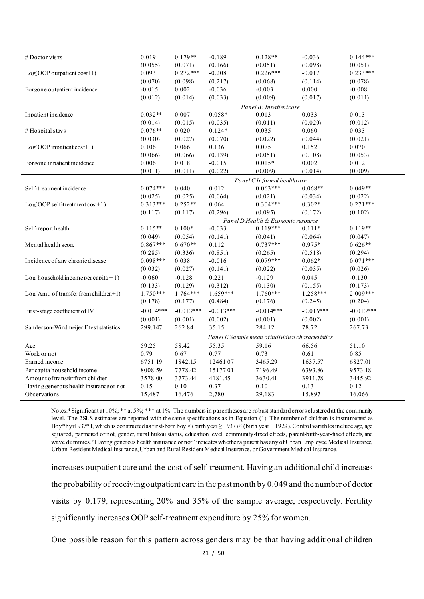| $#$ Doctor visits                       | 0.019       | $0.179**$             | $-0.189$              | $0.128**$                                         | $-0.036$              | $0.144***$            |
|-----------------------------------------|-------------|-----------------------|-----------------------|---------------------------------------------------|-----------------------|-----------------------|
|                                         | (0.055)     | (0.071)               | (0.166)               | (0.051)                                           | (0.098)               | (0.051)               |
| $Log(OOP$ outpatient cost+1)            | 0.093       | $0.272***$            | $-0.208$              | $0.226***$                                        | $-0.017$              | $0.233***$            |
|                                         | (0.070)     | (0.098)               | (0.217)               | (0.068)                                           | (0.114)               | (0.078)               |
| Forgone outpatient incidence            | $-0.015$    | 0.002                 | $-0.036$              | $-0.003$                                          | 0.000                 | $-0.008$              |
|                                         | (0.012)     | (0.014)               | (0.033)               | (0.009)                                           | (0.017)               | (0.011)               |
|                                         |             |                       |                       | Panel R · Innatient care                          |                       |                       |
| Inpatient incidence                     | $0.032**$   | 0.007                 | $0.058*$              | 0.013                                             | 0.033                 | 0.013                 |
|                                         | (0.014)     | (0.015)               | (0.035)               | (0.011)                                           | (0.020)               | (0.012)               |
| # Hospital stays                        | $0.076**$   | 0.020                 | $0.124*$              | 0.035                                             | 0.060                 | 0.033                 |
|                                         | (0.030)     | (0.027)               | (0.070)               | (0.022)                                           | (0.044)               | (0.021)               |
| $Log(OOP$ inpatient $cost+1)$           | 0.106       | 0.066                 | 0.136                 | 0.075                                             | 0.152                 | 0.070                 |
|                                         | (0.066)     | (0.066)               | (0.139)               | (0.051)                                           | (0.108)               | (0.053)               |
| Forgone inpatient incidence             | 0.006       | 0.018                 | $-0.015$              | $0.015*$                                          | 0.002                 | 0.012                 |
|                                         | (0.011)     | (0.011)               | (0.022)               | (0.009)                                           | (0.014)               | (0.009)               |
|                                         |             |                       |                       | Panel CInformal healthcare                        |                       |                       |
| Self-treatment incidence                | $0.074***$  | 0.040                 | 0.012                 | $0.063***$                                        | $0.068**$             | $0.049**$             |
|                                         | (0.025)     | (0.025)               | (0.064)               | (0.021)                                           | (0.034)               | (0.022)               |
| $Log(OOP self-treatment cost+1)$        | $0.313***$  | $0.252**$             | 0.064                 | $0.304***$                                        | $0.302*$              | $0.271***$            |
|                                         | (0.117)     | (0.117)               | (0.296)               | (0.095)                                           | (0.172)               | (0.102)               |
|                                         |             |                       |                       | Panel D Health & Economic resource                |                       |                       |
| Self-report health                      | $0.115**$   | $0.100*$              | $-0.033$              | $0.119***$                                        | $0.111*$              | $0.119**$             |
|                                         | (0.049)     | (0.054)               | (0.141)               | (0.041)                                           | (0.064)               | (0.047)               |
| Mental health score                     | $0.867***$  | $0.670**$             | 0.112                 | $0.737***$                                        | $0.975*$              | $0.626**$             |
|                                         | (0.285)     | (0.336)               | (0.851)               | (0.265)                                           | (0.518)               | (0.294)               |
| Incidence of any chronic disease        | $0.098***$  | 0.038                 | $-0.016$              | $0.079***$                                        | $0.062*$              | $0.071***$            |
|                                         | (0.032)     | (0.027)               | (0.141)               | (0.022)                                           | (0.035)               | (0.026)               |
| $Log(household income per canita + 1)$  | $-0.060$    | $-0.128$              | 0.221                 | $-0.129$                                          | 0.045                 | $-0.130$              |
|                                         |             |                       |                       |                                                   |                       |                       |
|                                         | (0.133)     | (0.129)<br>$1.764***$ | (0.312)<br>$1.659***$ | (0.130)<br>$1.760***$                             | (0.155)<br>$1.258***$ | (0.173)<br>$2.009***$ |
| Log(Amt. of transfer from children+1)   | $1.750***$  |                       |                       |                                                   |                       | (0.204)               |
|                                         | (0.178)     | (0.177)               | (0.484)               | (0.176)                                           | (0.245)               |                       |
| First-stage coefficient of IV           | $-0.014***$ | $-0.013***$           | $-0.013***$           | $-0.014***$                                       | $-0.016***$           | $-0.013***$           |
|                                         | (0.001)     | (0.001)               | (0.002)               | (0.001)                                           | (0.002)               | (0.001)               |
| Sanderson-Windmeijer F test statistics  | 299.147     | 262.84                | 35.15                 | 284.12                                            | 78.72                 | 267.73                |
|                                         |             |                       |                       | Panel E Sample mean of individual characteristics |                       |                       |
| Age                                     | 59.25       | 58.42                 | 55.35                 | 59.16                                             | 66.56                 | 51.10                 |
| Work or not                             | 0.79        | 0.67                  | 0.77                  | 0.73                                              | 0.61                  | 0.85                  |
| Earned income                           | 6751.19     | 1842.15               | 12461.07              | 3465.29                                           | 1637.57               | 6827.01               |
| Per capita household income             | 8008.59     | 7778.42               | 15177.01              | 7196.49                                           | 6393.86               | 9573.18               |
| Amount of transfer from children        | 3578.00     | 3773.44               | 4181.45               | 3630.41                                           | 3911.78               | 3445.92               |
| Having generous health insurance or not | 0.15        | 0.10                  | 0.37                  | $0.10\,$                                          | 0.13                  | 0.12                  |
| Observations                            | 15,487      | 16,476                | 2,780                 | 29,183                                            | 15,897                | 16,066                |
|                                         |             |                       |                       |                                                   |                       |                       |

Notes:\*Significant at 10%; \*\* at 5%; \*\*\* at 1%. The numbers in parentheses are robust standard errors clustered at the community level. The 2SLS estimates are reported with the same specifications as in Equation (1). The number of children is instrumented as Boy\*byr1937\*T, which is constructed as first-born boy × (birth year ≥ 1937)× (birth year− 1929). Control variables include age, age squared, partnered or not, gender, rural hukou status, education level, community-fixed effects, parent-birth-year-fixed effects, and wave dummies. "Having generous health insurance or not" indicates whether a parent has any of Urban Employee Medical Insurance, Urban Resident Medical Insurance, Urban and Rural Resident Medical Insurance, or Government Medical Insurance.

increases outpatient care and the cost of self-treatment. Having an additional child increases the probability of receiving outpatient care in the past month by 0.049 and the number of doctor visits by 0.179, representing 20% and 35% of the sample average, respectively. Fertility significantly increases OOP self-treatment expenditure by 25% for women.

One possible reason for this pattern across genders may be that having additional children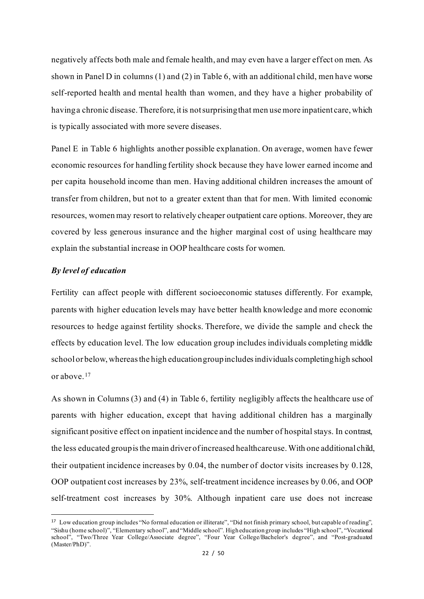negatively affects both male and female health, and may even have a larger effect on men. As shown in Panel D in columns (1) and (2) in Table 6, with an additional child, men have worse self-reported health and mental health than women, and they have a higher probability of havinga chronic disease. Therefore, it is not surprising that men use more inpatient care, which is typically associated with more severe diseases.

Panel E in Table 6 highlights another possible explanation. On average, women have fewer economic resources for handling fertility shock because they have lower earned income and per capita household income than men. Having additional children increases the amount of transfer from children, but not to a greater extent than that for men. With limited economic resources, women may resort to relatively cheaper outpatient care options. Moreover, they are covered by less generous insurance and the higher marginal cost of using healthcare may explain the substantial increase in OOP healthcare costs for women.

#### *By level of education*

Fertility can affect people with different socioeconomic statuses differently. For example, parents with higher education levels may have better health knowledge and more economic resources to hedge against fertility shocks. Therefore, we divide the sample and check the effects by education level. The low education group includes individuals completing middle school or below, whereas the high education group includesindividuals completing high school or above.[17](#page-22-0)

As shown in Columns (3) and (4) in Table 6, fertility negligibly affects the healthcare use of parents with higher education, except that having additional children has a marginally significant positive effect on inpatient incidence and the number of hospital stays. In contrast, the less educated group isthe main driver of increased healthcareuse. With one additional child, their outpatient incidence increases by 0.04, the number of doctor visits increases by 0.128, OOP outpatient cost increases by 23%, self-treatment incidence increases by 0.06, and OOP self-treatment cost increases by 30%. Although inpatient care use does not increase

<span id="page-22-0"></span><sup>17</sup> Low education group includes "No formal education or illiterate", "Did not finish primary school, but capable of reading", "Sishu (home school)", "Elementary school", and "Middle school". High education group includes "High school", "Vocational school", "Two/Three Year College/Associate degree", "Four Year College/Bachelor's degree", and "Post-graduated (Master/PhD)".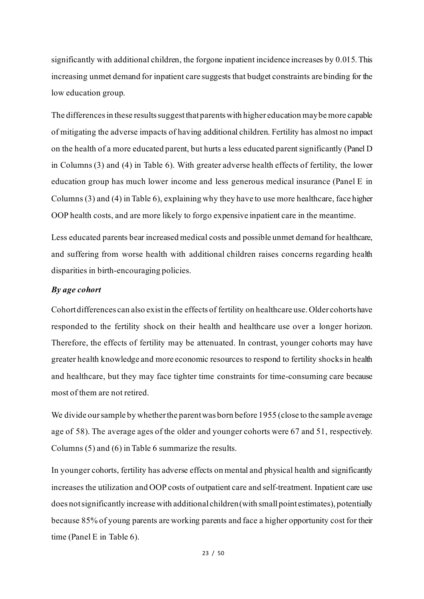significantly with additional children, the forgone inpatient incidence increases by 0.015. This increasing unmet demand for inpatient care suggests that budget constraints are binding for the low education group.

The differences in these results suggest that parents with higher education may be more capable of mitigating the adverse impacts of having additional children. Fertility has almost no impact on the health of a more educated parent, but hurts a less educated parent significantly (Panel D in Columns (3) and (4) in Table 6). With greater adverse health effects of fertility, the lower education group has much lower income and less generous medical insurance (Panel E in Columns (3) and (4) in Table 6), explaining why they have to use more healthcare, face higher OOP health costs, and are more likely to forgo expensive inpatient care in the meantime.

Less educated parents bear increased medical costs and possible unmet demand for healthcare, and suffering from worse health with additional children raises concerns regarding health disparities in birth-encouraging policies.

#### *By age cohort*

Cohort differences can also exist in the effects of fertility on healthcare use. Older cohorts have responded to the fertility shock on their health and healthcare use over a longer horizon. Therefore, the effects of fertility may be attenuated. In contrast, younger cohorts may have greater health knowledge and more economic resources to respond to fertility shocksin health and healthcare, but they may face tighter time constraints for time-consuming care because most of them are not retired.

We divide our sample by whether the parent was born before 1955 (close to the sample average age of 58). The average ages of the older and younger cohorts were 67 and 51, respectively. Columns (5) and (6) in Table 6 summarize the results.

In younger cohorts, fertility has adverse effects on mental and physical health and significantly increases the utilization and OOP costs of outpatient care and self-treatment. Inpatient care use does not significantly increase with additional children(with small point estimates), potentially because 85% of young parents are working parents and face a higher opportunity cost for their time (Panel E in Table 6).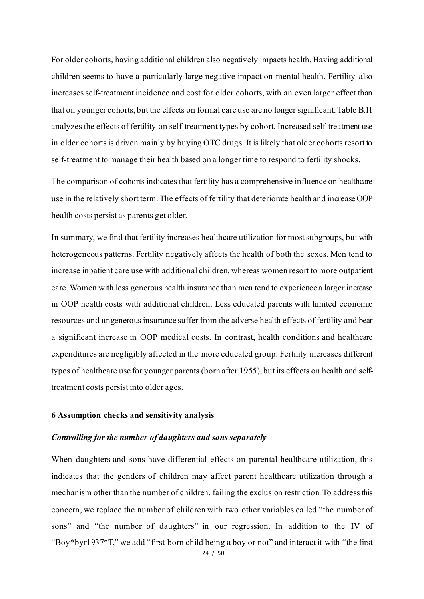For older cohorts, having additional children also negatively impacts health. Having additional children seems to have a particularly large negative impact on mental health. Fertility also increases self-treatment incidence and cost for older cohorts, with an even larger effect than that on younger cohorts, but the effects on formal care use are no longer significant. Table B.11 analyzes the effects of fertility on self-treatment types by cohort. Increased self-treatment use in older cohorts is driven mainly by buying OTC drugs. It is likely that older cohorts resort to self-treatment to manage their health based on a longer time to respond to fertility shocks.

The comparison of cohorts indicates that fertility has a comprehensive influence on healthcare use in the relatively short term.The effects of fertility that deteriorate health and increase OOP health costs persist as parents get older.

In summary, we find that fertility increases healthcare utilization for most subgroups, but with heterogeneous patterns. Fertility negatively affects the health of both the sexes. Men tend to increase inpatient care use with additional children, whereas women resort to more outpatient care. Women with less generous health insurance than men tend to experience a larger increase in OOP health costs with additional children. Less educated parents with limited economic resources and ungenerous insurance suffer from the adverse health effects of fertility and bear a significant increase in OOP medical costs. In contrast, health conditions and healthcare expenditures are negligibly affected in the more educated group. Fertility increases different types of healthcare use for younger parents (born after 1955), but its effects on health and selftreatment costs persist into older ages.

#### **6 Assumption checks and sensitivity analysis**

#### *Controlling for the number of daughters and sons separately*

When daughters and sons have differential effects on parental healthcare utilization, this indicates that the genders of children may affect parent healthcare utilization through a mechanism other than the number of children, failing the exclusion restriction.To address this concern, we replace the number of children with two other variables called "the number of sons" and "the number of daughters" in our regression. In addition to the IV of "Boy\*byr1937\*T," we add "first-born child being a boy or not" and interact it with "the first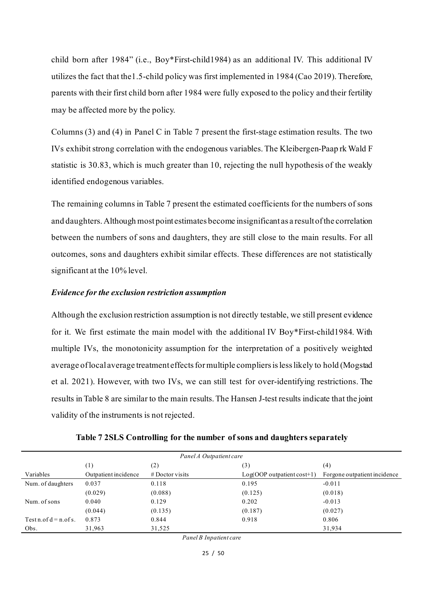child born after 1984" (i.e., Boy\*First-child1984) as an additional IV. This additional IV utilizes the fact that the1.5-child policy was first implemented in 1984 (Cao 2019). Therefore, parents with their first child born after 1984 were fully exposed to the policy and their fertility may be affected more by the policy.

Columns (3) and (4) in Panel C in Table 7 present the first-stage estimation results. The two IVs exhibit strong correlation with the endogenous variables. The Kleibergen-Paap rk Wald F statistic is 30.83, which is much greater than 10, rejecting the null hypothesis of the weakly identified endogenous variables.

The remaining columns in Table 7 present the estimated coefficients for the numbers of sons and daughters. Although most point estimates become insignificant as a resultof the correlation between the numbers of sons and daughters, they are still close to the main results. For all outcomes, sons and daughters exhibit similar effects. These differences are not statistically significant at the 10% level.

#### *Evidence for the exclusion restriction assumption*

Although the exclusion restriction assumption is not directly testable, we still present evidence for it. We first estimate the main model with the additional IV Boy\*First-child1984. With multiple IVs, the monotonicity assumption for the interpretation of a positively weighted average of local average treatment effects for multiple compliers is less likely to hold (Mogstad et al. 2021). However, with two IVs, we can still test for over-identifying restrictions. The results in Table 8 are similar to the main results. The Hansen J-test results indicate that the joint validity of the instruments is not rejected.

| Panel A Outpatient care   |                      |                   |                              |                              |  |  |  |
|---------------------------|----------------------|-------------------|------------------------------|------------------------------|--|--|--|
|                           | $^{(1)}$             | (2)               | (3)                          | (4)                          |  |  |  |
| Variables                 | Outpatient incidence | $#$ Doctor visits | $Log(OOP$ outpatient cost+1) | Forgone outpatient incidence |  |  |  |
| Num. of daughters         | 0.037                | 0.118             | 0.195                        | $-0.011$                     |  |  |  |
|                           | (0.029)              | (0.088)           | (0.125)                      | (0.018)                      |  |  |  |
| Num. of sons              | 0.040                | 0.129             | 0.202                        | $-0.013$                     |  |  |  |
|                           | (0.044)              | (0.135)           | (0.187)                      | (0.027)                      |  |  |  |
| $Test n. of d = n. of s.$ | 0.873                | 0.844             | 0.918                        | 0.806                        |  |  |  |
| Obs.                      | 31,963               | 31,525            |                              | 31,934                       |  |  |  |

**Table 7 2SLS Controlling for the number of sons and daughters separately**

*Panel B Inpatient care*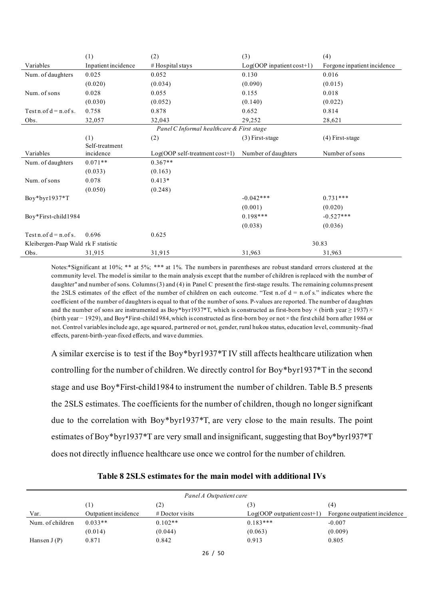|                                     | (1)                 | (2)                                       | (3)                       | (4)                         |
|-------------------------------------|---------------------|-------------------------------------------|---------------------------|-----------------------------|
| Variables                           | Inpatient incidence | # Hospital stays                          | Log(OOP inpatient cost+1) | Forgone inpatient incidence |
| Num. of daughters                   | 0.025               | 0.052                                     | 0.130                     | 0.016                       |
|                                     | (0.020)             | (0.034)                                   | (0.090)                   | (0.015)                     |
| Num. of sons                        | 0.028               | 0.055                                     | 0.155                     | 0.018                       |
|                                     | (0.030)             | (0.052)                                   | (0.140)                   | (0.022)                     |
| Test n.of $d = n.$ of s.            | 0.758               | 0.878                                     | 0.652                     | 0.814                       |
| Obs.                                | 32,057              | 32,043                                    | 29,252                    | 28,621                      |
|                                     |                     | Panel C Informal healthcare & First stage |                           |                             |
|                                     | (1)                 | (2)                                       | $(3)$ First-stage         | $(4)$ First-stage           |
|                                     | Self-treatment      |                                           |                           |                             |
| Variables                           | incidence           | $Log(OOP \text{ self-treatment cost+1})$  | Number of daughters       | Number of sons              |
| Num. of daughters                   | $0.071**$           | $0.367**$                                 |                           |                             |
|                                     | (0.033)             | (0.163)                                   |                           |                             |
| Num. of sons                        | 0.078               | $0.413*$                                  |                           |                             |
|                                     | (0.050)             | (0.248)                                   |                           |                             |
| $Boy*byr1937*T$                     |                     |                                           | $-0.042***$               | $0.731***$                  |
|                                     |                     |                                           | (0.001)                   | (0.020)                     |
| Boy*First-child1984                 |                     |                                           | $0.198***$                | $-0.527***$                 |
|                                     |                     |                                           | (0.038)                   | (0.036)                     |
| Testn.of $d = n.$ of s.             | 0.696               | 0.625                                     |                           |                             |
| Kleibergen-Paap Wald rk F statistic |                     |                                           |                           | 30.83                       |
| Obs.                                | 31,915              | 31,915                                    | 31,963                    | 31,963                      |

Notes:\*Significant at 10%; \*\* at 5%; \*\*\* at 1%. The numbers in parentheses are robust standard errors clustered at the community level. The model is similar to the main analysis except that the number of children is replaced with the number of daughter" and number of sons. Columns (3) and (4) in Panel C present the first-stage results. The remaining columns present the 2SLS estimates of the effect of the number of children on each outcome. "Test n.of  $d = n.of s$ ." indicates where the coefficient of the number of daughters is equal to that of the number of sons. P-values are reported. The number of daughters and the number of sons are instrumented as Boy\*byr1937\*T, which is constructed as first-born boy × (birth year  $\geq$  1937) × (birth year − 1929), and Boy\*First-child1984,which is constructed as first-born boy or not × the first child born after 1984 or not. Control variables include age, age squared, partnered or not, gender, rural hukou status, education level, community-fixed effects, parent-birth-year-fixed effects, and wave dummies.

A similar exercise is to test if the Boy\*byr1937\*T IV still affects healthcare utilization when controlling for the number of children. We directly control for Boy\*byr1937\*T in the second stage and use Boy\*First-child1984 to instrument the number of children. Table B.5 presents the 2SLS estimates. The coefficients for the number of children, though no longer significant due to the correlation with Boy\*byr1937\*T, are very close to the main results. The point estimates of Boy\*byr1937\*T are very small and insignificant, suggesting that Boy\*byr1937\*T does not directly influence healthcare use once we control for the number of children.

| Table 8 2SLS estimates for the main model with additional IVs |  |  |  |  |  |
|---------------------------------------------------------------|--|--|--|--|--|
|---------------------------------------------------------------|--|--|--|--|--|

| Panel A Outpatient care |                      |                   |                              |                              |  |  |
|-------------------------|----------------------|-------------------|------------------------------|------------------------------|--|--|
|                         | (1)                  | (2)               | $\left(3\right)$             | (4)                          |  |  |
| Var.                    | Outpatient incidence | $#$ Doctor visits | $Log(OOP$ outpatient cost+1) | Forgone outpatient incidence |  |  |
| Num. of children        | $0.033**$            | $0.102**$         | $0.183***$                   | $-0.007$                     |  |  |
|                         | (0.014)              | (0.044)           | (0.063)                      | (0.009)                      |  |  |
| Hansen $J(P)$           | 0.871                | 0.842             | 0.913                        | 0.805                        |  |  |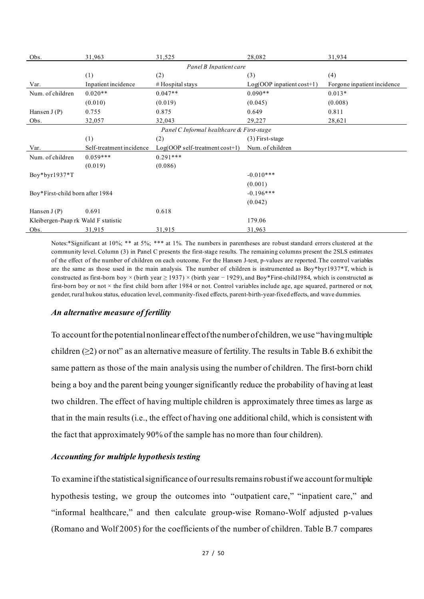| Obs.                                | 31,963                   | 31,525                                    | 28,082                    | 31,934                      |
|-------------------------------------|--------------------------|-------------------------------------------|---------------------------|-----------------------------|
|                                     |                          | Panel B Inpatient care                    |                           |                             |
|                                     | (1)                      | (2)                                       | (3)                       | (4)                         |
| Var.                                | Inpatient incidence      | # Hospital stays                          | Log(OOP inpatient cost+1) | Forgone inpatient incidence |
| Num. of children                    | $0.020**$                | $0.047**$                                 | $0.090**$                 | $0.013*$                    |
|                                     | (0.010)                  | (0.019)                                   | (0.045)                   | (0.008)                     |
| Hansen $J(P)$                       | 0.755                    | 0.875                                     | 0.649                     | 0.811                       |
| Obs.                                | 32,057                   | 32,043                                    | 29,227                    | 28,621                      |
|                                     |                          | Panel C Informal healthcare & First-stage |                           |                             |
|                                     | (1)                      | (2)                                       | $(3)$ First-stage         |                             |
| Var.                                | Self-treatment incidence | Log(OOP self-treatment cost+1)            | Num. of children          |                             |
| Num. of children                    | $0.059***$               | $0.291***$                                |                           |                             |
|                                     | (0.019)                  | (0.086)                                   |                           |                             |
| Boy*byr1937*T                       |                          |                                           | $-0.010***$               |                             |
|                                     |                          |                                           | (0.001)                   |                             |
| Boy*First-child born after 1984     |                          |                                           | $-0.196***$               |                             |
|                                     |                          |                                           | (0.042)                   |                             |
| Hansen $J(P)$                       | 0.691                    | 0.618                                     |                           |                             |
| Kleibergen-Paap rk Wald F statistic |                          |                                           | 179.06                    |                             |
| Obs.                                | 31,915                   | 31,915                                    | 31,963                    |                             |

Notes:\*Significant at 10%; \*\* at 5%; \*\*\* at 1%. The numbers in parentheses are robust standard errors clustered at the community level. Column (3) in Panel C presents the first-stage results. The remaining columns present the 2SLS estimates of the effect of the number of children on each outcome. For the Hansen J-test, p-values are reported.The control variables are the same as those used in the main analysis. The number of children is instrumented as Boy\*byr1937\*T, which is constructed as first-born boy × (birth year  $\geq$  1937) × (birth year - 1929), and Boy\*First-child1984, which is constructed as first-born boy or not  $\times$  the first child born after 1984 or not. Control variables include age, age squared, partnered or not, gender, rural hukou status, education level, community-fixed effects, parent-birth-year-fixed effects, and wave dummies.

#### *An alternative measure of fertility*

To account for the potential nonlinear effect of the number of children, we use "having multiple children ( $\geq$ 2) or not" as an alternative measure of fertility. The results in Table B.6 exhibit the same pattern as those of the main analysis using the number of children. The first-born child being a boy and the parent being younger significantly reduce the probability of having at least two children. The effect of having multiple children is approximately three times as large as that in the main results (i.e., the effect of having one additional child, which is consistent with the fact that approximately 90% of the sample has no more than four children).

#### *Accounting for multiple hypothesis testing*

To examine if the statistical significance of our results remainsrobust if we account for multiple hypothesis testing, we group the outcomes into "outpatient care," "inpatient care," and "informal healthcare," and then calculate group-wise Romano-Wolf adjusted p-values (Romano and Wolf 2005) for the coefficients of the number of children. Table B.7 compares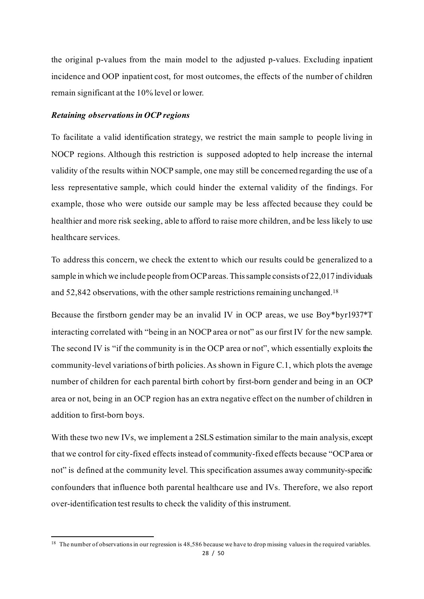the original p-values from the main model to the adjusted p-values. Excluding inpatient incidence and OOP inpatient cost, for most outcomes, the effects of the number of children remain significant at the 10% level or lower.

#### *Retaining observations in OCP regions*

To facilitate a valid identification strategy, we restrict the main sample to people living in NOCP regions. Although this restriction is supposed adopted to help increase the internal validity of the results within NOCP sample, one may still be concerned regarding the use of a less representative sample, which could hinder the external validity of the findings. For example, those who were outside our sample may be less affected because they could be healthier and more risk seeking, able to afford to raise more children, and be less likely to use healthcare services.

To address this concern, we check the extent to which our results could be generalized to a sample in which we include people from OCPareas.This sample consists of 22,017 individuals and 52,842 observations, with the other sample restrictions remaining unchanged.[18](#page-28-0)

Because the firstborn gender may be an invalid IV in OCP areas, we use Boy\*byr1937\*T interacting correlated with "being in an NOCP area or not" as our first IV for the new sample. The second IV is "if the community is in the OCP area or not", which essentially exploits the community-level variations of birth policies. As shown in Figure C.1, which plots the average number of children for each parental birth cohort by first-born gender and being in an OCP area or not, being in an OCP region has an extra negative effect on the number of children in addition to first-born boys.

With these two new IVs, we implement a 2SLS estimation similar to the main analysis, except that we control for city-fixed effects instead of community-fixed effects because "OCP area or not" is defined at the community level. This specification assumes away community-specific confounders that influence both parental healthcare use and IVs. Therefore, we also report over-identification test results to check the validity of this instrument.

<span id="page-28-0"></span> $18$  The number of observations in our regression is 48,586 because we have to drop missing values in the required variables.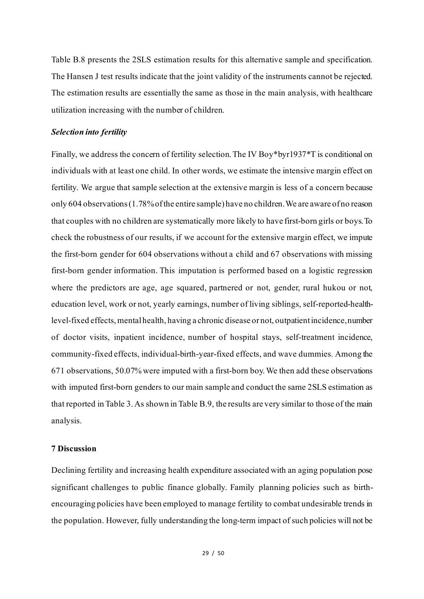Table B.8 presents the 2SLS estimation results for this alternative sample and specification. The Hansen J test results indicate that the joint validity of the instruments cannot be rejected. The estimation results are essentially the same as those in the main analysis, with healthcare utilization increasing with the number of children.

#### *Selection into fertility*

Finally, we address the concern of fertility selection. The IV Boy\*byr1937\*T is conditional on individuals with at least one child. In other words, we estimate the intensive margin effect on fertility. We argue that sample selection at the extensive margin is less of a concern because only 604 observations (1.78% of the entire sample) have no children. We are aware of no reason that couples with no children are systematically more likely to have first-born girls or boys. To check the robustness of our results, if we account for the extensive margin effect, we impute the first-born gender for 604 observations without a child and 67 observations with missing first-born gender information. This imputation is performed based on a logistic regression where the predictors are age, age squared, partnered or not, gender, rural hukou or not, education level, work or not, yearly earnings, number of living siblings, self-reported-healthlevel-fixed effects, mental health, having a chronic disease or not, outpatient incidence, number of doctor visits, inpatient incidence, number of hospital stays, self-treatment incidence, community-fixed effects, individual-birth-year-fixed effects, and wave dummies. Among the 671 observations, 50.07% were imputed with a first-born boy.We then add these observations with imputed first-born genders to our main sample and conduct the same 2SLS estimation as that reported in Table 3. As shown in Table B.9, the results are very similar to those of the main analysis.

#### **7 Discussion**

Declining fertility and increasing health expenditure associated with an aging population pose significant challenges to public finance globally. Family planning policies such as birthencouraging policies have been employed to manage fertility to combat undesirable trends in the population. However, fully understanding the long-term impact of such policies will not be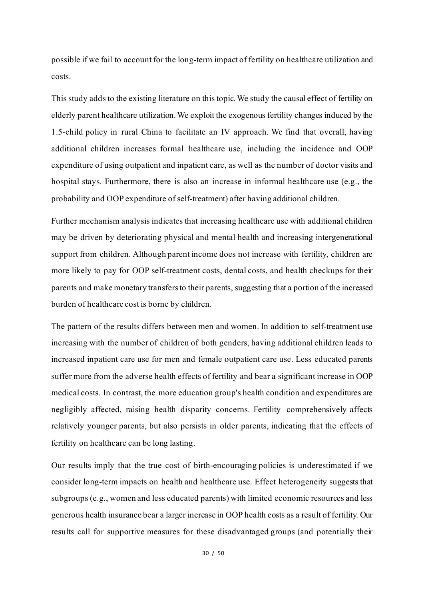possible if we fail to account for the long-term impact of fertility on healthcare utilization and costs.

This study adds to the existing literature on this topic. We study the causal effect of fertility on elderly parent healthcare utilization. We exploit the exogenous fertility changes induced by the 1.5-child policy in rural China to facilitate an IV approach. We find that overall, having additional children increases formal healthcare use, including the incidence and OOP expenditure of using outpatient and inpatient care, as well as the number of doctor visits and hospital stays. Furthermore, there is also an increase in informal healthcare use (e.g., the probability and OOP expenditure of self-treatment) after having additional children.

Further mechanism analysis indicates that increasing healthcare use with additional children may be driven by deteriorating physical and mental health and increasing intergenerational support from children. Although parent income does not increase with fertility, children are more likely to pay for OOP self-treatment costs, dental costs, and health checkups for their parents and make monetary transfersto their parents, suggesting that a portion of the increased burden of healthcare cost is borne by children.

The pattern of the results differs between men and women. In addition to self-treatment use increasing with the number of children of both genders, having additional children leads to increased inpatient care use for men and female outpatient care use. Less educated parents suffer more from the adverse health effects of fertility and bear a significant increase in OOP medical costs. In contrast, the more education group's health condition and expenditures are negligibly affected, raising health disparity concerns. Fertility comprehensively affects relatively younger parents, but also persists in older parents, indicating that the effects of fertility on healthcare can be long lasting.

Our results imply that the true cost of birth-encouraging policies is underestimated if we consider long-term impacts on health and healthcare use. Effect heterogeneity suggests that subgroups (e.g., women and less educated parents) with limited economic resources and less generous health insurance bear a larger increase in OOP health costs as a result of fertility. Our results call for supportive measures for these disadvantaged groups (and potentially their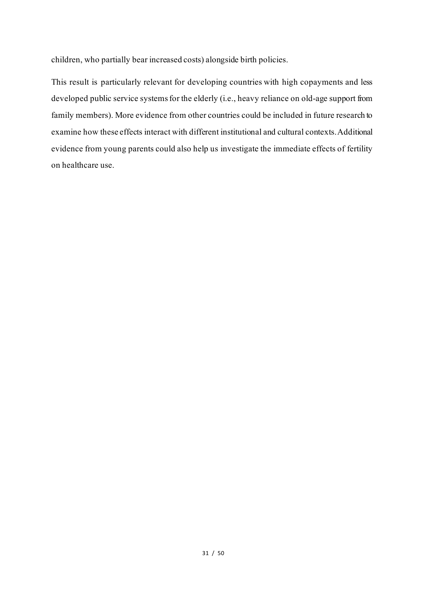children, who partially bear increased costs) alongside birth policies.

This result is particularly relevant for developing countries with high copayments and less developed public service systemsfor the elderly (i.e., heavy reliance on old-age support from family members). More evidence from other countries could be included in future research to examine how these effects interact with different institutional and cultural contexts.Additional evidence from young parents could also help us investigate the immediate effects of fertility on healthcare use.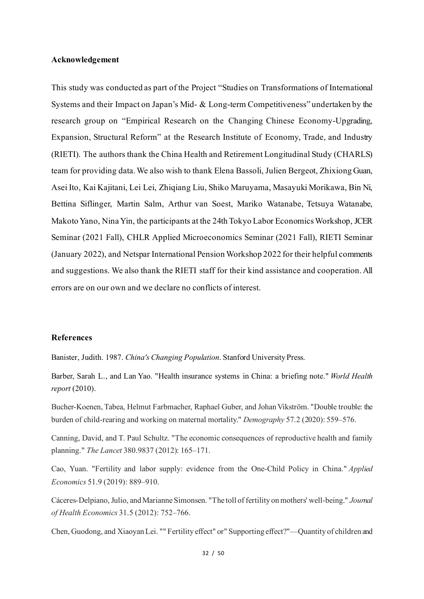#### **Acknowledgement**

This study was conducted as part of the Project "Studies on Transformations of International Systems and their Impact on Japan's Mid- & Long-term Competitiveness" undertaken by the research group on "Empirical Research on the Changing Chinese Economy-Upgrading, Expansion, Structural Reform" at the Research Institute of Economy, Trade, and Industry (RIETI). The authors thank the China Health and Retirement Longitudinal Study (CHARLS) team for providing data. We also wish to thank Elena Bassoli, Julien Bergeot, Zhixiong Guan, Asei Ito, Kai Kajitani, Lei Lei, Zhiqiang Liu, Shiko Maruyama, Masayuki Morikawa, Bin Ni, Bettina Siflinger, Martin Salm, Arthur van Soest, Mariko Watanabe, Tetsuya Watanabe, Makoto Yano, Nina Yin, the participants at the 24th Tokyo Labor Economics Workshop, JCER Seminar (2021 Fall), CHLR Applied Microeconomics Seminar (2021 Fall), RIETI Seminar (January 2022), and Netspar International Pension Workshop 2022 for their helpful comments and suggestions. We also thank the RIETI staff for their kind assistance and cooperation. All errors are on our own and we declare no conflicts of interest.

#### **References**

Banister, Judith. 1987. *China's Changing Population*. Stanford University Press.

Barber, Sarah L., and Lan Yao. "Health insurance systems in China: a briefing note." *World Health report* (2010).

Bucher-Koenen, Tabea, Helmut Farbmacher, Raphael Guber, and Johan Vikström. "Double trouble: the burden of child-rearing and working on maternal mortality." *Demography* 57.2 (2020): 559–576.

Canning, David, and T. Paul Schultz. "The economic consequences of reproductive health and family planning." *The Lancet* 380.9837 (2012): 165–171.

Cao, Yuan. "Fertility and labor supply: evidence from the One-Child Policy in China." *Applied Economics* 51.9 (2019): 889–910.

Cáceres-Delpiano, Julio, and Marianne Simonsen. "The toll of fertility on mothers' well-being." *Journal of Health Economics* 31.5 (2012): 752–766.

Chen, Guodong, and Xiaoyan Lei. "" Fertility effect" or" Supporting effect?"—Quantity of children and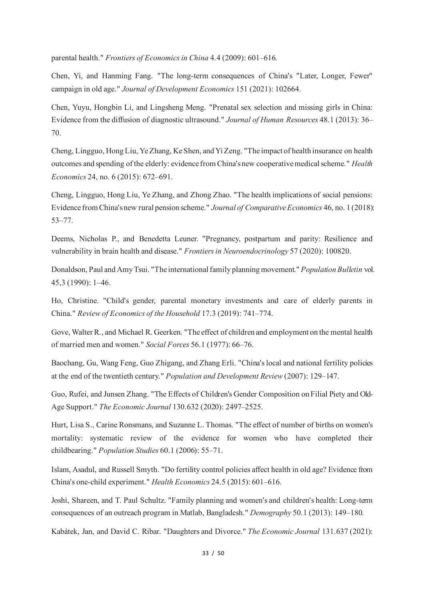parental health." *Frontiers of Economics in China* 4.4 (2009): 601–616.

Chen, Yi, and Hanming Fang. "The long-term consequences of China's "Later, Longer, Fewer" campaign in old age." *Journal of Development Economics* 151 (2021): 102664.

Chen, Yuyu, Hongbin Li, and Lingsheng Meng. "Prenatal sex selection and missing girls in China: Evidence from the diffusion of diagnostic ultrasound." *Journal of Human Resources* 48.1 (2013): 36– 70.

Cheng, Lingguo, Hong Liu, Ye Zhang, Ke Shen, and Yi Zeng. "The impact of health insurance on health outcomes and spending of the elderly: evidence from China's new cooperative medical scheme." *Health Economics* 24, no. 6 (2015): 672–691.

Cheng, Lingguo, Hong Liu, Ye Zhang, and Zhong Zhao. "The health implications of social pensions: Evidence from China's new rural pension scheme." *Journal of Comparative Economics* 46, no. 1 (2018): 53–77.

Deems, Nicholas P., and Benedetta Leuner. "Pregnancy, postpartum and parity: Resilience and vulnerability in brain health and disease." *Frontiers in Neuroendocrinology* 57 (2020): 100820.

Donaldson, Paul and Amy Tsui. "The international family planning movement." *Population Bulletin* vol. 45,3 (1990): 1–46.

Ho, Christine. "Child's gender, parental monetary investments and care of elderly parents in China." *Review of Economics of the Household* 17.3 (2019): 741–774.

Gove, Walter R., and Michael R. Geerken. "The effect of children and employment on the mental health of married men and women." *Social Forces* 56.1 (1977): 66–76.

Baochang, Gu, Wang Feng, Guo Zhigang, and Zhang Erli. "China's local and national fertility policies at the end of the twentieth century." *Population and Development Review* (2007): 129–147.

Guo, Rufei, and Junsen Zhang. "The Effects of Children's Gender Composition on Filial Piety and Old-Age Support." *The Economic Journal* 130.632 (2020): 2497–2525.

Hurt, Lisa S., Carine Ronsmans, and Suzanne L. Thomas. "The effect of number of births on women's mortality: systematic review of the evidence for women who have completed their childbearing." *Population Studies* 60.1 (2006): 55–71.

Islam, Asadul, and Russell Smyth. "Do fertility control policies affect health in old age? Evidence from China's one‐child experiment." *Health Economics* 24.5 (2015): 601–616.

Joshi, Shareen, and T. Paul Schultz. "Family planning and women's and children's health: Long-term consequences of an outreach program in Matlab, Bangladesh." *Demography* 50.1 (2013): 149–180.

Kabátek, Jan, and David C. Ribar. "Daughters and Divorce." *The Economic Journal* 131.637 (2021):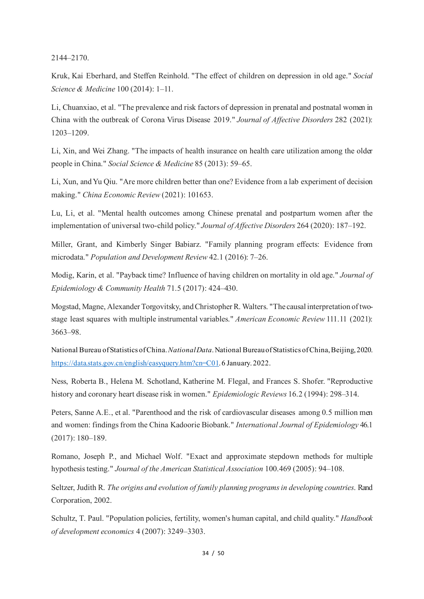2144–2170.

Kruk, Kai Eberhard, and Steffen Reinhold. "The effect of children on depression in old age." *Social Science & Medicine* 100 (2014): 1–11.

Li, Chuanxiao, et al. "The prevalence and risk factors of depression in prenatal and postnatal women in China with the outbreak of Corona Virus Disease 2019." *Journal of Affective Disorders* 282 (2021): 1203–1209.

Li, Xin, and Wei Zhang. "The impacts of health insurance on health care utilization among the older people in China." *Social Science & Medicine* 85 (2013): 59–65.

Li, Xun, and Yu Qiu. "Are more children better than one? Evidence from a lab experiment of decision making." *China Economic Review* (2021): 101653.

Lu, Li, et al. "Mental health outcomes among Chinese prenatal and postpartum women after the implementation of universal two-child policy." *Journal of Affective Disorders* 264 (2020): 187–192.

Miller, Grant, and Kimberly Singer Babiarz. "Family planning program effects: Evidence from microdata." *Population and Development Review* 42.1 (2016): 7–26.

Modig, Karin, et al. "Payback time? Influence of having children on mortality in old age." *Journal of Epidemiology & Community Health* 71.5 (2017): 424–430.

Mogstad, Magne, Alexander Torgovitsky, and Christopher R. Walters. "The causal interpretation of twostage least squares with multiple instrumental variables." *American Economic Review* 111.11 (2021): 3663–98.

National Bureau of Statistics of China. *National Data*. National Bureau of Statistics of China, Beijing, 2020. <https://data.stats.gov.cn/english/easyquery.htm?cn=C01>. 6 January. 2022.

Ness, Roberta B., Helena M. Schotland, Katherine M. Flegal, and Frances S. Shofer. "Reproductive history and coronary heart disease risk in women." *Epidemiologic Reviews* 16.2 (1994): 298–314.

Peters, Sanne A.E., et al. "Parenthood and the risk of cardiovascular diseases among 0.5 million men and women: findings from the China Kadoorie Biobank." *International Journal of Epidemiology* 46.1 (2017): 180–189.

Romano, Joseph P., and Michael Wolf. "Exact and approximate stepdown methods for multiple hypothesis testing." *Journal of the American Statistical Association* 100.469 (2005): 94–108.

Seltzer, Judith R. *The origins and evolution of family planning programs in developing countries*. Rand Corporation, 2002.

Schultz, T. Paul. "Population policies, fertility, women's human capital, and child quality." *Handbook of development economics* 4 (2007): 3249–3303.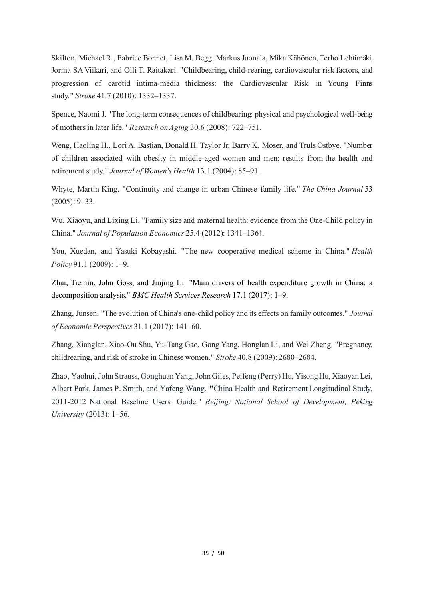Skilton, Michael R., Fabrice Bonnet, Lisa M. Begg, Markus Juonala, Mika Kähönen, Terho Lehtimäki, Jorma SA Viikari, and Olli T. Raitakari. "Childbearing, child-rearing, cardiovascular risk factors, and progression of carotid intima-media thickness: the Cardiovascular Risk in Young Finns study." *Stroke* 41.7 (2010): 1332–1337.

Spence, Naomi J. "The long-term consequences of childbearing: physical and psychological well-being of mothers in later life." *Research on Aging* 30.6 (2008): 722–751.

Weng, Haoling H., Lori A. Bastian, Donald H. Taylor Jr, Barry K. Moser, and Truls Ostbye. "Number of children associated with obesity in middle-aged women and men: results from the health and retirement study." *Journal of Women's Health* 13.1 (2004): 85–91.

Whyte, Martin King. "Continuity and change in urban Chinese family life." *The China Journal* 53 (2005): 9–33.

Wu, Xiaoyu, and Lixing Li. "Family size and maternal health: evidence from the One-Child policy in China." *Journal of Population Economics* 25.4 (2012): 1341–1364.

You, Xuedan, and Yasuki Kobayashi. "The new cooperative medical scheme in China." *Health Policy* 91.1 (2009): 1–9.

Zhai, Tiemin, John Goss, and Jinjing Li. "Main drivers of health expenditure growth in China: a decomposition analysis." *BMC Health Services Research* 17.1 (2017): 1–9.

Zhang, Junsen. "The evolution of China's one-child policy and its effects on family outcomes." *Journal of Economic Perspectives* 31.1 (2017): 141–60.

Zhang, Xianglan, Xiao-Ou Shu, Yu-Tang Gao, Gong Yang, Honglan Li, and Wei Zheng. "Pregnancy, childrearing, and risk of stroke in Chinese women." *Stroke* 40.8 (2009): 2680–2684.

Zhao, Yaohui, John Strauss, Gonghuan Yang, John Giles, Peifeng (Perry) Hu, Yisong Hu, Xiaoyan Lei, Albert Park, James P. Smith, and Yafeng Wang. **"**China Health and Retirement Longitudinal Study, 2011-2012 National Baseline Users' Guide." *Beijing: National School of Development, Peking University* (2013): 1–56.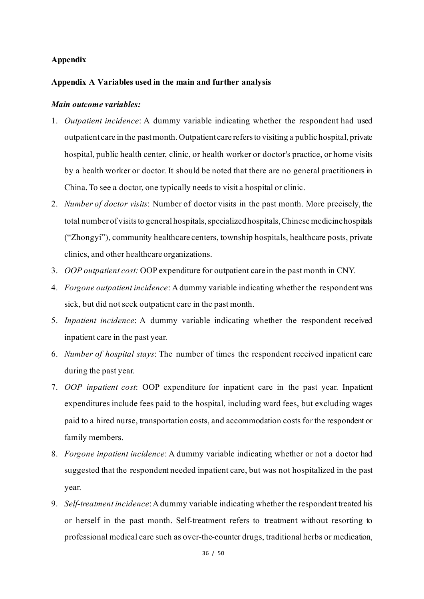#### **Appendix**

#### **Appendix A Variables used in the main and further analysis**

#### *Main outcome variables:*

- 1. *Outpatient incidence*: A dummy variable indicating whether the respondent had used outpatient care in the past month. Outpatient care refers to visiting a public hospital, private hospital, public health center, clinic, or health worker or doctor's practice, or home visits by a health worker or doctor. It should be noted that there are no general practitioners in China. To see a doctor, one typically needs to visit a hospital or clinic.
- 2. *Number of doctor visits*: Number of doctor visits in the past month. More precisely, the total number of visits to general hospitals, specialized hospitals, Chinese medicine hospitals ("Zhongyi"), community healthcare centers, township hospitals, healthcare posts, private clinics, and other healthcare organizations.
- 3. *OOP outpatient cost:* OOP expenditure for outpatient care in the past month in CNY.
- 4. *Forgone outpatient incidence*: A dummy variable indicating whether the respondent was sick, but did not seek outpatient care in the past month.
- 5. *Inpatient incidence*: A dummy variable indicating whether the respondent received inpatient care in the past year.
- 6. *Number of hospital stays*: The number of times the respondent received inpatient care during the past year.
- 7. *OOP inpatient cost*: OOP expenditure for inpatient care in the past year. Inpatient expenditures include fees paid to the hospital, including ward fees, but excluding wages paid to a hired nurse, transportation costs, and accommodation costs for the respondent or family members.
- 8. *Forgone inpatient incidence*: A dummy variable indicating whether or not a doctor had suggested that the respondent needed inpatient care, but was not hospitalized in the past year.
- 9. *Self-treatment incidence*: A dummy variable indicating whether the respondent treated his or herself in the past month. Self-treatment refers to treatment without resorting to professional medical care such as over-the-counter drugs, traditional herbs or medication,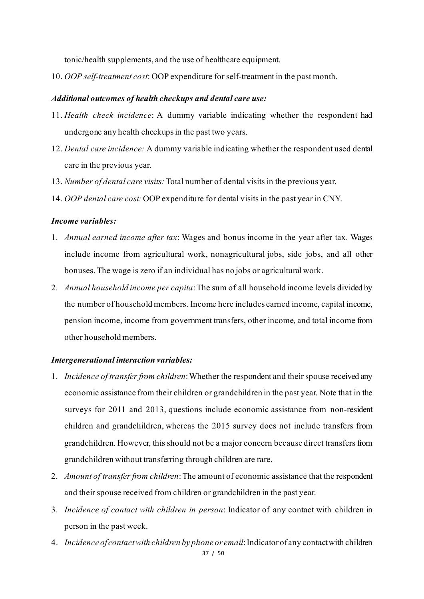tonic/health supplements, and the use of healthcare equipment.

10. *OOP self-treatment cost*: OOP expenditure for self-treatment in the past month.

#### *Additional outcomes of health checkups and dental care use:*

- 11. *Health check incidence*: A dummy variable indicating whether the respondent had undergone any health checkupsin the past two years.
- 12. *Dental care incidence:* A dummy variable indicating whether the respondent used dental care in the previous year.
- 13. *Number of dental care visits:*Total number of dental visits in the previous year.
- 14. *OOP dental care cost:*OOP expenditure for dental visits in the past year in CNY.

#### *Income variables:*

- 1. *Annual earned income after tax*: Wages and bonus income in the year after tax. Wages include income from agricultural work, nonagricultural jobs, side jobs, and all other bonuses. The wage is zero if an individual has no jobs or agricultural work.
- 2. *Annual household income per capita*: The sum of all household income levels divided by the number of household members. Income here includes earned income, capital income, pension income, income from government transfers, other income, and total income from other household members.

#### *Intergenerational interaction variables:*

- 1. *Incidence of transfer from children*: Whether the respondent and their spouse received any economic assistance from their children or grandchildren in the past year. Note that in the surveys for 2011 and 2013, questions include economic assistance from non-resident children and grandchildren, whereas the 2015 survey does not include transfers from grandchildren. However, this should not be a major concern because direct transfers from grandchildren without transferring through children are rare.
- 2. *Amount of transfer from children*:The amount of economic assistance that the respondent and their spouse received from children or grandchildren in the past year.
- 3. *Incidence of contact with children in person*: Indicator of any contact with children in person in the past week.
- 37 / 50 4. *Incidence of contact with children by phone or email*:Indicator of any contact with children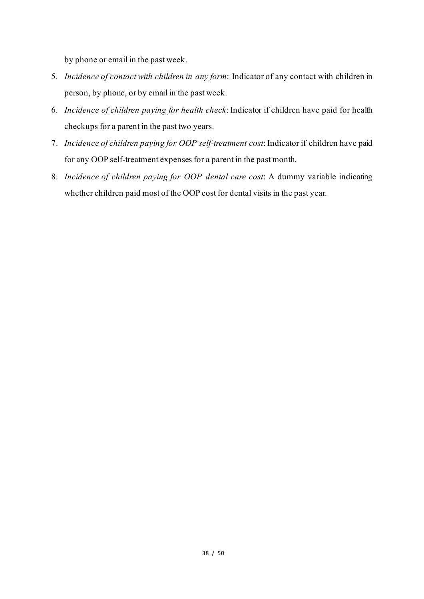by phone or email in the past week.

- 5. *Incidence of contact with children in any form*: Indicator of any contact with children in person, by phone, or by email in the past week.
- 6. *Incidence of children paying for health check*: Indicator if children have paid for health checkups for a parent in the past two years.
- 7. *Incidence of children paying for OOP self-treatment cost*: Indicator if children have paid for any OOP self-treatment expenses for a parent in the past month.
- 8. *Incidence of children paying for OOP dental care cost*: A dummy variable indicating whether children paid most of the OOP cost for dental visits in the past year.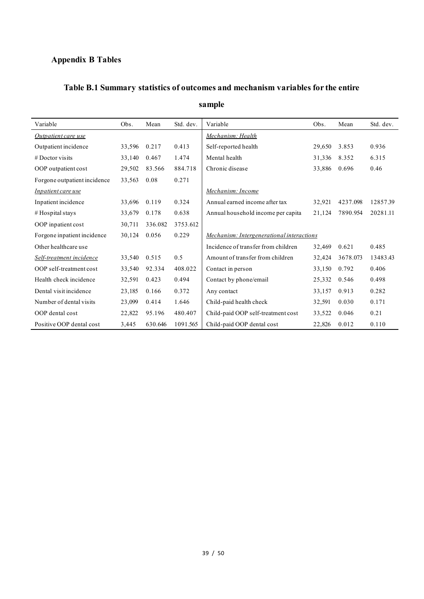### **Appendix B Tables**

## **Table B.1 Summary statistics of outcomes and mechanism variables for the entire**

| Variable                     | Obs.   | Mean    | Std. dev. | Variable                                  | Obs.   | Mean     | Std. dev. |
|------------------------------|--------|---------|-----------|-------------------------------------------|--------|----------|-----------|
| Outpatient care use          |        |         |           | Mechanism: Health                         |        |          |           |
| Outpatient incidence         | 33,596 | 0.217   | 0.413     | Self-reported health                      | 29,650 | 3.853    | 0.936     |
| $#$ Doctor visits            | 33,140 | 0.467   | 1.474     | Mental health                             | 31,336 | 8.352    | 6.315     |
| OOP outpatient cost          | 29,502 | 83.566  | 884.718   | Chronic disease                           | 33,886 | 0.696    | 0.46      |
| Forgone outpatient incidence | 33,563 | 0.08    | 0.271     |                                           |        |          |           |
| Inpatient care use           |        |         |           | Mechanism: Income                         |        |          |           |
| Inpatient incidence          | 33,696 | 0.119   | 0.324     | Annual earned income after tax            | 32,921 | 4237.098 | 12857.39  |
| # Hospital stays             | 33,679 | 0.178   | 0.638     | Annual household income per capita        | 21,124 | 7890.954 | 20281.11  |
| OOP inpatient cost           | 30,711 | 336.082 | 3753.612  |                                           |        |          |           |
| Forgone inpatient incidence  | 30,124 | 0.056   | 0.229     | Mechanism: Intergenerational interactions |        |          |           |
| Other healthcare use         |        |         |           | Incidence of transfer from children       | 32,469 | 0.621    | 0.485     |
| Self-treatment incidence     | 33,540 | 0.515   | 0.5       | Amount of transfer from children          | 32,424 | 3678.073 | 13483.43  |
| OOP self-treatment cost      | 33,540 | 92.334  | 408.022   | Contact in person                         | 33,150 | 0.792    | 0.406     |
| Health check incidence       | 32,591 | 0.423   | 0.494     | Contact by phone/email                    | 25,332 | 0.546    | 0.498     |
| Dental visit incidence       | 23,185 | 0.166   | 0.372     | Any contact                               | 33,157 | 0.913    | 0.282     |
| Number of dental visits      | 23,099 | 0.414   | 1.646     | Child-paid health check                   | 32,591 | 0.030    | 0.171     |
| OOP dental cost              | 22,822 | 95.196  | 480.407   | Child-paid OOP self-treatment cost        | 33,522 | 0.046    | 0.21      |
| Positive OOP dental cost     | 3,445  | 630.646 | 1091.565  | Child-paid OOP dental cost                | 22,826 | 0.012    | 0.110     |

### **sample**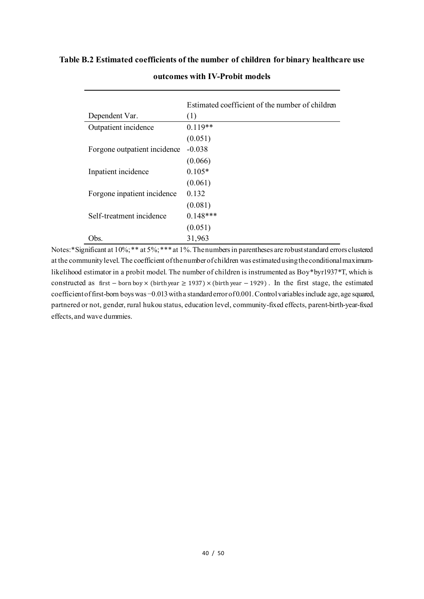#### **Table B.2 Estimated coefficients of the number of children for binary healthcare use**

|                              | Estimated coefficient of the number of children |
|------------------------------|-------------------------------------------------|
| Dependent Var.               | (1)                                             |
| Outpatient incidence         | $0.119**$                                       |
|                              | (0.051)                                         |
| Forgone outpatient incidence | $-0.038$                                        |
|                              | (0.066)                                         |
| Inpatient incidence          | $0.105*$                                        |
|                              | (0.061)                                         |
| Forgone inpatient incidence  | 0.132                                           |
|                              | (0.081)                                         |
| Self-treatment incidence     | $0.148***$                                      |
|                              | (0.051)                                         |
| Obs.                         | 31,963                                          |

#### **outcomes with IV-Probit models**

Notes:\*Significant at 10%; \*\* at 5%; \*\*\* at 1%. The numbers in parentheses are robust standard errors clustered at the community level. The coefficient of the number of children was estimated using the conditional maximumlikelihood estimator in a probit model. The number of children is instrumented as Boy\*byr1937\*T, which is constructed as first − born boy × (birth year ≥ 1937) × (birth year − 1929) . In the first stage, the estimated coefficient of first-born boys was −0.013 with a standard error of 0.001. Control variables include age, age squared, partnered or not, gender, rural hukou status, education level, community-fixed effects, parent-birth-year-fixed effects, and wave dummies.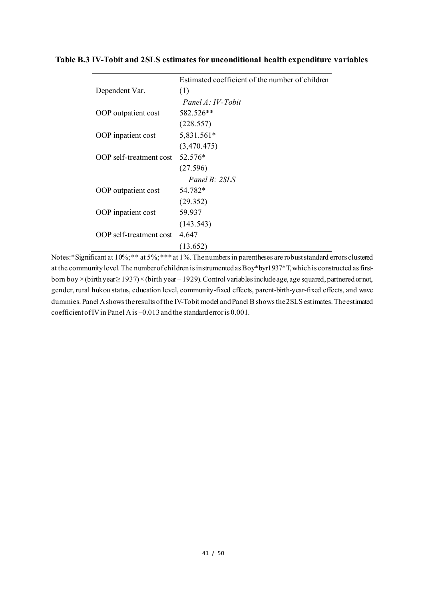|                         | Estimated coefficient of the number of children |
|-------------------------|-------------------------------------------------|
| Dependent Var.          | (1)                                             |
|                         | Panel A: IV-Tobit                               |
| OOP outpatient cost     | 582.526**                                       |
|                         | (228.557)                                       |
| OOP inpatient cost      | 5,831.561*                                      |
|                         | (3,470.475)                                     |
| OOP self-treatment cost | 52.576*                                         |
|                         | (27.596)                                        |
|                         | Panel $B: 2SLS$                                 |
| OOP outpatient cost     | 54.782*                                         |
|                         | (29.352)                                        |
| OOP inpatient cost      | 59.937                                          |
|                         | (143.543)                                       |
| OOP self-treatment cost | 4.647                                           |
|                         | (13.652)                                        |

**Table B.3 IV-Tobit and 2SLS estimates for unconditional health expenditure variables**

Notes:\*Significant at 10%; \*\* at 5%; \*\*\* at 1%. The numbers in parentheses are robust standard errors clustered at the community level. The number of children is instrumented as Boy\*byr1937\*T, which is constructed as firstborn boy ×(birth year≥ 1937)×(birth year− 1929). Control variables include age, age squared, partnered or not, gender, rural hukou status, education level, community-fixed effects, parent-birth-year-fixed effects, and wave dummies.Panel A shows the results of the IV-Tobit model and Panel B shows the 2SLS estimates. The estimated coefficient of IV in Panel A is −0.013and the standard error is 0.001.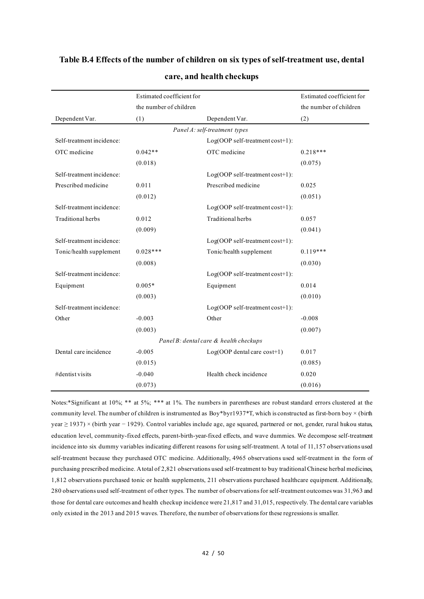|                           | Estimated coefficient for |                                        | Estimated coefficient for |
|---------------------------|---------------------------|----------------------------------------|---------------------------|
|                           | the number of children    |                                        | the number of children    |
| Dependent Var.            | (1)                       | Dependent Var.                         | (2)                       |
|                           |                           |                                        |                           |
| Self-treatment incidence: |                           | Log(OOP self-treatment cost+1):        |                           |
| OTC medicine              | $0.042**$                 | OTC medicine                           | $0.218***$                |
|                           | (0.018)                   |                                        | (0.075)                   |
| Self-treatment incidence: |                           | Log(OOP self-treatment cost+1):        |                           |
| Prescribed medicine       | 0.011                     | Prescribed medicine                    | 0.025                     |
|                           | (0.012)                   |                                        | (0.051)                   |
| Self-treatment incidence: |                           | Log(OOP self-treatment cost+1):        |                           |
| Traditional herbs         | 0.012                     | Traditional herbs                      | 0.057                     |
|                           | (0.009)                   |                                        | (0.041)                   |
| Self-treatment incidence: |                           | Log(OOP self-treatment cost+1):        |                           |
| Tonic/health supplement   | $0.028***$                | Tonic/health supplement                | $0.119***$                |
|                           | (0.008)                   |                                        | (0.030)                   |
| Self-treatment incidence: |                           | Log(OOP self-treatment cost+1):        |                           |
| Equipment                 | $0.005*$                  | Equipment                              | 0.014                     |
|                           | (0.003)                   |                                        | (0.010)                   |
| Self-treatment incidence: |                           | Log(OOP self-treatment cost+1):        |                           |
| Other                     | $-0.003$                  | Other                                  | $-0.008$                  |
|                           | (0.003)                   |                                        | (0.007)                   |
|                           |                           | Panel B: dental care & health checkups |                           |
| Dental care incidence     | $-0.005$                  | $Log(OOP$ dental care $cost+1)$        | 0.017                     |
|                           | (0.015)                   |                                        | (0.085)                   |
| #dentist visits           | $-0.040$                  | Health check incidence                 | 0.020                     |
|                           | (0.073)                   |                                        | (0.016)                   |

#### **care, and health checkups**

Notes:\*Significant at 10%; \*\* at 5%; \*\*\* at 1%. The numbers in parentheses are robust standard errors clustered at the community level. The number of children is instrumented as  $Boy*byr1937*T$ , which is constructed as first-born boy  $\times$  (birth year ≥ 1937) × (birth year − 1929). Control variables include age, age squared, partnered or not, gender, rural hukou status, education level, community-fixed effects, parent-birth-year-fixed effects, and wave dummies. We decompose self-treatment incidence into six dummy variables indicating different reasons for using self-treatment. A total of 11,157 observations used self-treatment because they purchased OTC medicine. Additionally, 4965 observations used self-treatment in the form of purchasing prescribed medicine. A total of 2,821 observations used self-treatment to buy traditional Chinese herbal medicines, 1,812 observations purchased tonic or health supplements, 211 observations purchased healthcare equipment. Additionally, 280 observations used self-treatment of other types. The number of observations for self-treatment outcomes was 31,963 and those for dental care outcomes and health checkup incidence were 21,817 and 31,015, respectively. The dental care variables only existed in the 2013 and 2015 waves. Therefore, the number of observations for these regressions is smaller.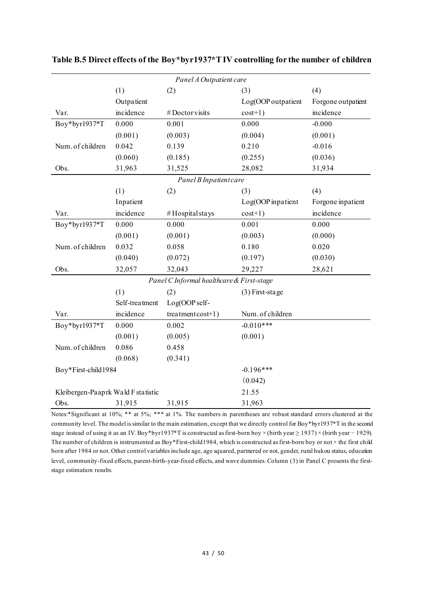|                                     | Panel A Outpatient care |                                           |                    |                    |  |  |
|-------------------------------------|-------------------------|-------------------------------------------|--------------------|--------------------|--|--|
|                                     | (1)                     | (2)                                       | (3)                | (4)                |  |  |
|                                     | Outpatient              |                                           | Log(OOP outpatient | Forgone outpatient |  |  |
| Var.                                | incidence               | #Doctorvisits                             | $cost+1)$          | incidence          |  |  |
| Boy*byr1937*T                       | 0.000                   | 0.001                                     | 0.000              | $-0.000$           |  |  |
|                                     | (0.001)                 | (0.003)                                   | (0.004)            | (0.001)            |  |  |
| Num. of children                    | 0.042                   | 0.139                                     | 0.210              | $-0.016$           |  |  |
|                                     | (0.060)                 | (0.185)                                   | (0.255)            | (0.036)            |  |  |
| Obs.                                | 31,963                  | 31,525                                    | 28,082             | 31,934             |  |  |
|                                     |                         | Panel B Inpatient care                    |                    |                    |  |  |
|                                     | (1)                     | (2)                                       | (3)                | (4)                |  |  |
|                                     | Inpatient               |                                           | Log(OOP inpatient  | Forgone inpatient  |  |  |
| Var.                                | incidence               | #Hospital stays                           | $cost+1)$          | incidence          |  |  |
| Boy*byr1937*T                       | 0.000                   | 0.000                                     | 0.001              | 0.000              |  |  |
|                                     | (0.001)                 | (0.001)                                   | (0.003)            | (0.000)            |  |  |
| Num. of children                    | 0.032                   | 0.058                                     | 0.180              | 0.020              |  |  |
|                                     | (0.040)                 | (0.072)                                   | (0.197)            | (0.030)            |  |  |
| Obs.                                | 32,057                  | 32,043                                    | 29,227             | 28,621             |  |  |
|                                     |                         | Panel C Informal healthcare & First-stage |                    |                    |  |  |
|                                     | (1)                     | (2)                                       | $(3)$ First-stage  |                    |  |  |
|                                     | Self-treatment          | Log(OOP self-                             |                    |                    |  |  |
| Var.                                | incidence               | $treatment cost+1)$                       | Num. of children   |                    |  |  |
| Boy*byr1937*T                       | 0.000                   | 0.002                                     | $-0.010***$        |                    |  |  |
|                                     | (0.001)                 | (0.005)                                   | (0.001)            |                    |  |  |
| Num. of children                    | 0.086                   | 0.458                                     |                    |                    |  |  |
|                                     | (0.068)                 | (0.341)                                   |                    |                    |  |  |
| Boy*First-child1984                 |                         |                                           | $-0.196***$        |                    |  |  |
|                                     |                         |                                           | (0.042)            |                    |  |  |
| Kleibergen-Paap rk Wald F statistic |                         |                                           | 21.55              |                    |  |  |
| Obs.                                | 31,915                  | 31,915                                    | 31,963             |                    |  |  |

**Table B.5 Direct effects of the Boy\*byr1937\*TIV controlling for the number of children** 

Notes:\*Significant at 10%; \*\* at 5%; \*\*\* at 1%. The numbers in parentheses are robust standard errors clustered at the community level. The model is similar to the main estimation, except that we directly control for Boy\*byr1937\*T in the second stage instead of using it as an IV. Boy\*byr1937\*T is constructed as first-born boy × (birth year ≥ 1937) × (birth year – 1929). The number of children is instrumented as Boy\*First-child1984, which is constructed as first-born boy or not  $\times$  the first child born after 1984 or not. Other control variables include age, age squared, partnered or not, gender, rural hukou status, education level, community-fixed effects, parent-birth-year-fixed effects, and wave dummies. Column (3) in Panel C presents the firststage estimation results.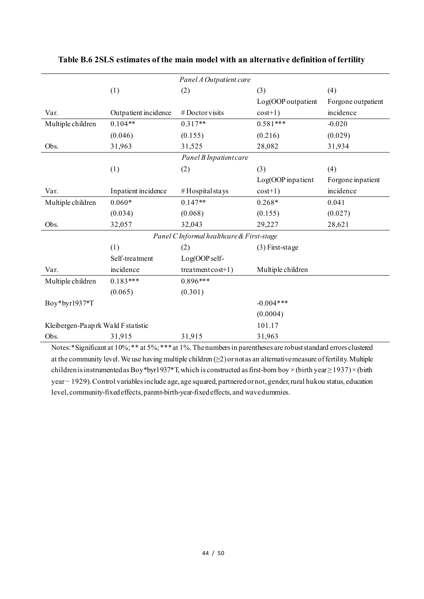|                                     |                      | Panel A Outpatient care                   |                    |                    |
|-------------------------------------|----------------------|-------------------------------------------|--------------------|--------------------|
|                                     | (1)                  | (2)                                       | (3)                | (4)                |
|                                     |                      |                                           | Log(OOP outpatient | Forgone outpatient |
| Var.                                | Outpatient incidence | $#$ Doctor visits                         | $cost+1)$          | incidence          |
| Multiple children                   | $0.104**$            | $0.317**$                                 | $0.581***$         | $-0.020$           |
|                                     | (0.046)              | (0.155)                                   | (0.216)            | (0.029)            |
| Obs.                                | 31,963               | 31,525                                    | 28,082             | 31,934             |
|                                     |                      | Panel B Inpatient care                    |                    |                    |
|                                     | (1)                  | (2)                                       | (3)                | (4)                |
|                                     |                      |                                           | Log(OOP inpatient  | Forgone inpatient  |
| Var.                                | Inpatient incidence  | #Hospitalstays                            | $cost+1)$          | incidence          |
| Multiple children                   | $0.060*$             | $0.147**$                                 | $0.268*$           | 0.041              |
|                                     | (0.034)              | (0.068)                                   | (0.155)            | (0.027)            |
| Obs.                                | 32,057               | 32,043                                    | 29,227             | 28,621             |
|                                     |                      | Panel C Informal healthcare & First-stage |                    |                    |
|                                     | (1)                  | (2)                                       | $(3)$ First-stage  |                    |
|                                     | Self-treatment       | Log(OOP self-                             |                    |                    |
| Var.                                | incidence            | $treatment cost+1)$                       | Multiple children  |                    |
| Multiple children                   | $0.183***$           | $0.896***$                                |                    |                    |
|                                     | (0.065)              | (0.301)                                   |                    |                    |
| Boy*byr1937*T                       |                      |                                           | $-0.004***$        |                    |
|                                     |                      |                                           | (0.0004)           |                    |
| Kleibergen-Paap rk Wald F statistic |                      |                                           | 101.17             |                    |
| Obs.                                | 31,915               | 31,915                                    | 31,963             |                    |

**Table B.6 2SLS estimates of the main model with an alternative definition of fertility**

Notes:\*Significant at 10%; \*\* at 5%; \*\*\* at 1%. The numbers in parentheses are robust standard errors clustered at the community level. We use having multiple children (≥2) or not as an alternative measure of fertility. Multiple children is instrumented as Boy\*byr1937\*T,which is constructed as first-born boy ×(birth year≥ 1937)×(birth year− 1929). Control variables include age, age squared, partnered or not, gender, rural hukou status, education level, community-fixed effects, parent-birth-year-fixed effects, and wave dummies.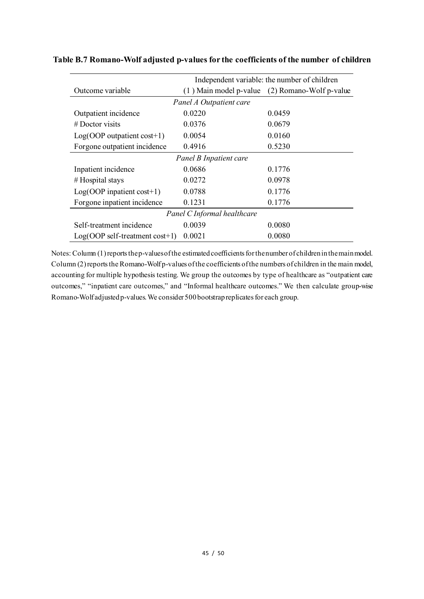| Independent variable: the number of children |                         |                                                    |  |  |
|----------------------------------------------|-------------------------|----------------------------------------------------|--|--|
| Outcome variable                             |                         | $(1)$ Main model p-value $(2)$ Romano-Wolf p-value |  |  |
|                                              | Panel A Outpatient care |                                                    |  |  |
| Outpatient incidence                         | 0.0220                  | 0.0459                                             |  |  |
| $#$ Doctor visits                            | 0.0376                  | 0.0679                                             |  |  |
| $Log(OOP$ outpatient cost+1)                 | 0.0054                  | 0.0160                                             |  |  |
| Forgone outpatient incidence                 | 0.4916                  | 0.5230                                             |  |  |
|                                              | Panel B Inpatient care  |                                                    |  |  |
| Inpatient incidence                          | 0.0686                  | 0.1776                                             |  |  |
| #Hospital stays                              | 0.0272                  | 0.0978                                             |  |  |
| $Log(OOP$ inpatient cost+1)                  | 0.0788                  | 0.1776                                             |  |  |
| Forgone inpatient incidence                  | 0.1231                  | 0.1776                                             |  |  |
| Panel C Informal healthcare                  |                         |                                                    |  |  |
| Self-treatment incidence                     | 0.0039                  | 0.0080                                             |  |  |
| $Log(OOP self-treatment cost+1)$             | 0.0021                  | 0.0080                                             |  |  |

**Table B.7 Romano-Wolf adjusted p-values for the coefficients of the number of children** 

Notes: Column (1) reports the p-values of the estimated coefficients for the number of children in the main model. Column (2) reports the Romano-Wolf p-values of the coefficients of the numbers of children in the main model, accounting for multiple hypothesis testing. We group the outcomes by type of healthcare as "outpatient care outcomes," "inpatient care outcomes," and "Informal healthcare outcomes." We then calculate group-wise Romano-Wolf adjusted p-values. We consider 500 bootstrap replicates for each group.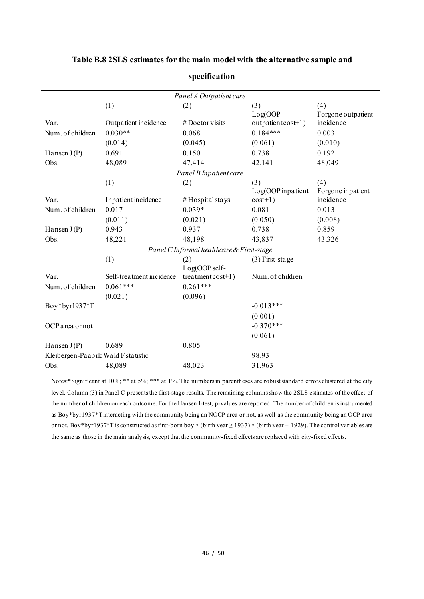|                                     |                          | Panel A Outpatient care                   |                    |                    |
|-------------------------------------|--------------------------|-------------------------------------------|--------------------|--------------------|
|                                     | (1)                      | (2)                                       | (3)                | (4)                |
|                                     |                          |                                           | Log(OOP)           | Forgone outpatient |
| Var.                                | Outpatient incidence     | #Doctorvisits                             | outpatient cost+1) | incidence          |
| Num. of children                    | $0.030**$                | 0.068                                     | $0.184***$         | 0.003              |
|                                     | (0.014)                  | (0.045)                                   | (0.061)            | (0.010)            |
| Hansen $J(P)$                       | 0.691                    | 0.150                                     | 0.738              | 0.192              |
| Obs.                                | 48,089                   | 47,414                                    | 42,141             | 48,049             |
|                                     |                          | Panel B Inpatient care                    |                    |                    |
|                                     | (1)                      | (2)                                       | (3)                | (4)                |
|                                     |                          |                                           | Log(OOP inpatient  | Forgone inpatient  |
| Var.                                | Inpatient incidence      | #Hospital stays                           | $cost+1)$          | incidence          |
| Num. of children                    | 0.017                    | $0.039*$                                  | 0.081              | 0.013              |
|                                     | (0.011)                  | (0.021)                                   | (0.050)            | (0.008)            |
| Hansen $J(P)$                       | 0.943                    | 0.937                                     | 0.738              | 0.859              |
| Obs.                                | 48,221                   | 48,198                                    | 43,837             | 43,326             |
|                                     |                          | Panel C Informal healthcare & First-stage |                    |                    |
|                                     | (1)                      | (2)                                       | (3) First-stage    |                    |
|                                     |                          | Log(OOP self-                             |                    |                    |
| Var.                                | Self-treatment incidence | $treatmentcost+1)$                        | Num. of children   |                    |
| Num. of children                    | $0.061***$               | $0.261***$                                |                    |                    |
|                                     | (0.021)                  | (0.096)                                   |                    |                    |
| Boy*byr1937*T                       |                          |                                           | $-0.013***$        |                    |
|                                     |                          |                                           | (0.001)            |                    |
| OCP area or not                     |                          |                                           | $-0.370***$        |                    |
|                                     |                          |                                           | (0.061)            |                    |
| Hansen $J(P)$                       | 0.689                    | 0.805                                     |                    |                    |
| Kleibergen-Paap rk Wald F statistic |                          |                                           | 98.93              |                    |
| Obs.                                | 48,089                   | 48,023                                    | 31,963             |                    |

#### **Table B.8 2SLS estimates for the main model with the alternative sample and**

**specification**

Notes:\*Significant at 10%; \*\* at 5%; \*\*\* at 1%. The numbers in parentheses are robust standard errors clustered at the city level. Column (3) in Panel C presents the first-stage results. The remaining columns show the 2SLS estimates of the effect of the number of children on each outcome. For the Hansen J-test, p-values are reported. The number of children is instrumented as Boy\*byr1937\*T interacting with the community being an NOCP area or not, as well as the community being an OCP area or not. Boy\*byr1937\*T is constructed as first-born boy × (birth year ≥ 1937) × (birth year − 1929). The control variables are the same as those in the main analysis, except that the community-fixed effects are replaced with city-fixed effects.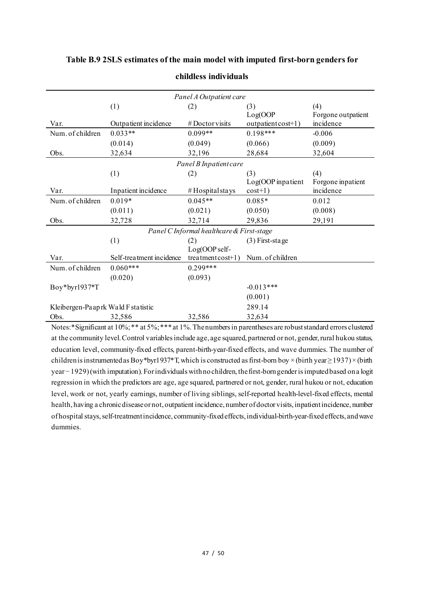| Panel A Outpatient care             |                          |                                           |                    |                    |  |  |  |
|-------------------------------------|--------------------------|-------------------------------------------|--------------------|--------------------|--|--|--|
|                                     | (1)                      | (2)                                       | (3)                | (4)                |  |  |  |
|                                     |                          |                                           | Log(OOP)           | Forgone outpatient |  |  |  |
| Var.                                | Outpatient incidence     | $#$ Doctor visits                         | outpatient cost+1) | incidence          |  |  |  |
| Num. of children                    | $0.033**$                | $0.099**$                                 | $0.198***$         | $-0.006$           |  |  |  |
|                                     | (0.014)                  | (0.049)                                   | (0.066)            | (0.009)            |  |  |  |
| Obs.                                | 32,634                   | 32,196                                    | 28,684             | 32,604             |  |  |  |
|                                     |                          | Panel B Inpatient care                    |                    |                    |  |  |  |
|                                     | (1)                      | (2)                                       | (3)                | (4)                |  |  |  |
|                                     |                          |                                           | Log(OOP inpatient  | Forgone inpatient  |  |  |  |
| Var.                                | Inpatient incidence      | $#$ Hospital stays                        | $cost+1)$          | incidence          |  |  |  |
| Num. of children                    | $0.019*$                 | $0.045**$                                 | $0.085*$           | 0.012              |  |  |  |
|                                     | (0.011)                  | (0.021)                                   | (0.050)            | (0.008)            |  |  |  |
| Obs.                                | 32,728                   | 32,714                                    | 29,836             | 29,191             |  |  |  |
|                                     |                          | Panel C Informal healthcare & First-stage |                    |                    |  |  |  |
|                                     | (1)                      | (2)                                       | $(3)$ First-stage  |                    |  |  |  |
|                                     |                          | Log(OOP self-                             |                    |                    |  |  |  |
| Var.                                | Self-treatment incidence | $treatment cost+1)$                       | Num. of children   |                    |  |  |  |
| Num. of children                    | $0.060***$               | $0.299***$                                |                    |                    |  |  |  |
|                                     | (0.020)                  | (0.093)                                   |                    |                    |  |  |  |
| Boy*byr1937*T                       |                          |                                           | $-0.013***$        |                    |  |  |  |
|                                     |                          |                                           | (0.001)            |                    |  |  |  |
| Kleibergen-Paap rk Wald F statistic |                          |                                           | 289.14             |                    |  |  |  |
| Obs.                                | 32,586                   | 32,586                                    | 32,634             |                    |  |  |  |

#### **Table B.9 2SLS estimates of the main model with imputed first-born genders for**

**childless individuals**

Notes:\*Significant at 10%; \*\* at 5%; \*\*\* at 1%. The numbers in parentheses are robust standard errors clustered at the community level. Control variables include age, age squared, partnered or not, gender, rural hukou status, education level, community-fixed effects, parent-birth-year-fixed effects, and wave dummies. The number of children is instrumented as Boy\*byr1937\*T, which is constructed as first-born boy × (birth year  $\geq$  1937) × (birth year− 1929)(with imputation). For individuals with no children, the first-born gender isimputed based on a logit regression in which the predictors are age, age squared, partnered or not, gender, rural hukou or not, education level, work or not, yearly earnings, number of living siblings, self-reported health-level-fixed effects, mental health, having a chronic disease or not, outpatient incidence, number of doctor visits, inpatient incidence, number of hospital stays, self-treatment incidence, community-fixed effects, individual-birth-year-fixed effects, and wave dummies.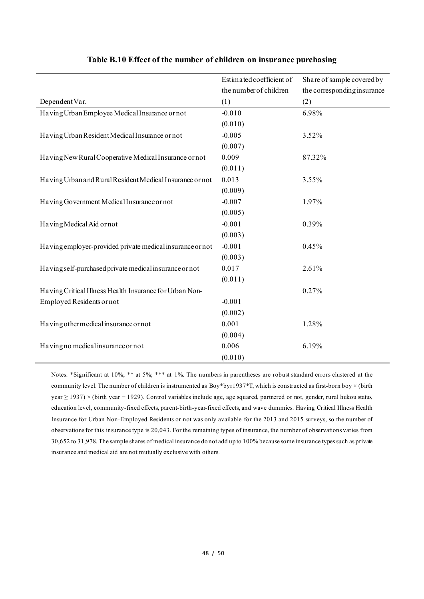|                                                           | Estimated coefficient of | Share of sample covered by  |
|-----------------------------------------------------------|--------------------------|-----------------------------|
|                                                           | the number of children   | the corresponding insurance |
| Dependent Var.                                            | (1)                      | (2)                         |
| Having Urban Employee Medical Insurance or not            | $-0.010$                 | 6.98%                       |
|                                                           | (0.010)                  |                             |
| Having Urban Resident Medical Insurance or not            | $-0.005$                 | 3.52%                       |
|                                                           | (0.007)                  |                             |
| Having New Rural Cooperative Medical Insurance or not     | 0.009                    | 87.32%                      |
|                                                           | (0.011)                  |                             |
| Having Urban and Rural Resident Medical Insurance or not  | 0.013                    | 3.55%                       |
|                                                           | (0.009)                  |                             |
| Having Government Medical Insurance or not                | $-0.007$                 | 1.97%                       |
|                                                           | (0.005)                  |                             |
| Having Medical Aid or not                                 | $-0.001$                 | 0.39%                       |
|                                                           | (0.003)                  |                             |
| Having employer-provided private medical insurance or not | $-0.001$                 | 0.45%                       |
|                                                           | (0.003)                  |                             |
| Having self-purchased private medical insurance or not    | 0.017                    | 2.61%                       |
|                                                           | (0.011)                  |                             |
| Having Critical Illness Health Insurance for Urban Non-   |                          | 0.27%                       |
| Employed Residents or not                                 | $-0.001$                 |                             |
|                                                           | (0.002)                  |                             |
| Having other medical insurance or not                     | 0.001                    | 1.28%                       |
|                                                           | (0.004)                  |                             |
| Having no medical insurance or not                        | 0.006                    | 6.19%                       |
|                                                           | (0.010)                  |                             |

#### **Table B.10 Effect of the number of children on insurance purchasing**

Notes: \*Significant at 10%; \*\* at 5%; \*\*\* at 1%. The numbers in parentheses are robust standard errors clustered at the community level. The number of children is instrumented as Boy\*byr1937\*T, which is constructed as first-born boy  $\times$  (birth year ≥ 1937) × (birth year − 1929). Control variables include age, age squared, partnered or not, gender, rural hukou status, education level, community-fixed effects, parent-birth-year-fixed effects, and wave dummies. Having Critical Illness Health Insurance for Urban Non-Employed Residents or not was only available for the 2013 and 2015 surveys, so the number of observations for this insurance type is 20,043. For the remaining types of insurance, the number of observations varies from 30,652 to 31,978. The sample shares of medical insurance do not add up to 100% because some insurance typessuch as private insurance and medical aid are not mutually exclusive with others.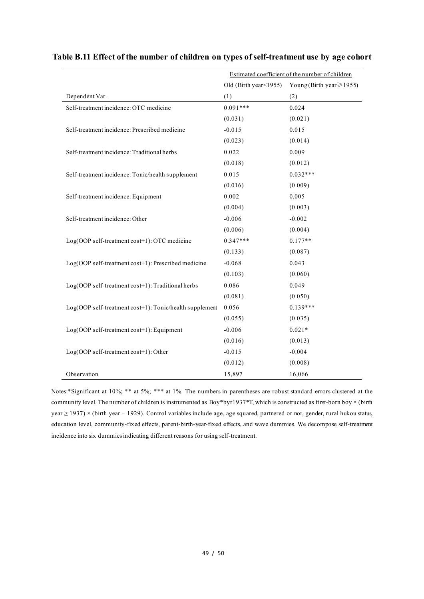|                                                         | Estimated coefficient of the number of children |                               |
|---------------------------------------------------------|-------------------------------------------------|-------------------------------|
|                                                         | Old (Birth year < 1955)                         | Young (Birth year $\ge$ 1955) |
| Dependent Var.                                          | (1)                                             | (2)                           |
| Self-treatment incidence: OTC medicine                  | $0.091***$                                      | 0.024                         |
|                                                         | (0.031)                                         | (0.021)                       |
| Self-treatment incidence: Prescribed medicine           | $-0.015$                                        | 0.015                         |
|                                                         | (0.023)                                         | (0.014)                       |
| Self-treatment incidence: Traditional herbs             | 0.022                                           | 0.009                         |
|                                                         | (0.018)                                         | (0.012)                       |
| Self-treatment incidence: Tonic/health supplement       | 0.015                                           | $0.032***$                    |
|                                                         | (0.016)                                         | (0.009)                       |
| Self-treatment incidence: Equipment                     | 0.002                                           | 0.005                         |
|                                                         | (0.004)                                         | (0.003)                       |
| Self-treatment incidence: Other                         | $-0.006$                                        | $-0.002$                      |
|                                                         | (0.006)                                         | (0.004)                       |
| Log(OOP self-treatment cost+1): OTC medicine            | $0.347***$                                      | $0.177**$                     |
|                                                         | (0.133)                                         | (0.087)                       |
| Log(OOP self-treatment cost+1): Prescribed medicine     | $-0.068$                                        | 0.043                         |
|                                                         | (0.103)                                         | (0.060)                       |
| Log(OOP self-treatment cost+1): Traditional herbs       | 0.086                                           | 0.049                         |
|                                                         | (0.081)                                         | (0.050)                       |
| Log(OOP self-treatment cost+1): Tonic/health supplement | 0.056                                           | $0.139***$                    |
|                                                         | (0.055)                                         | (0.035)                       |
| Log(OOP self-treatment cost+1): Equipment               | $-0.006$                                        | $0.021*$                      |
|                                                         | (0.016)                                         | (0.013)                       |
| Log(OOP self-treatment cost+1): Other                   | $-0.015$                                        | $-0.004$                      |
|                                                         | (0.012)                                         | (0.008)                       |
| Observation                                             | 15,897                                          | 16,066                        |

#### **Table B.11 Effect of the number of children on types of self-treatment use by age cohort**

Notes:\*Significant at 10%; \*\* at 5%; \*\*\* at 1%. The numbers in parentheses are robust standard errors clustered at the community level. The number of children is instrumented as Boy\*byr1937\*T, which is constructed as first-born boy  $\times$  (birth year ≥ 1937) × (birth year − 1929). Control variables include age, age squared, partnered or not, gender, rural hukou status, education level, community-fixed effects, parent-birth-year-fixed effects, and wave dummies. We decompose self-treatment incidence into six dummies indicating different reasons for using self-treatment.